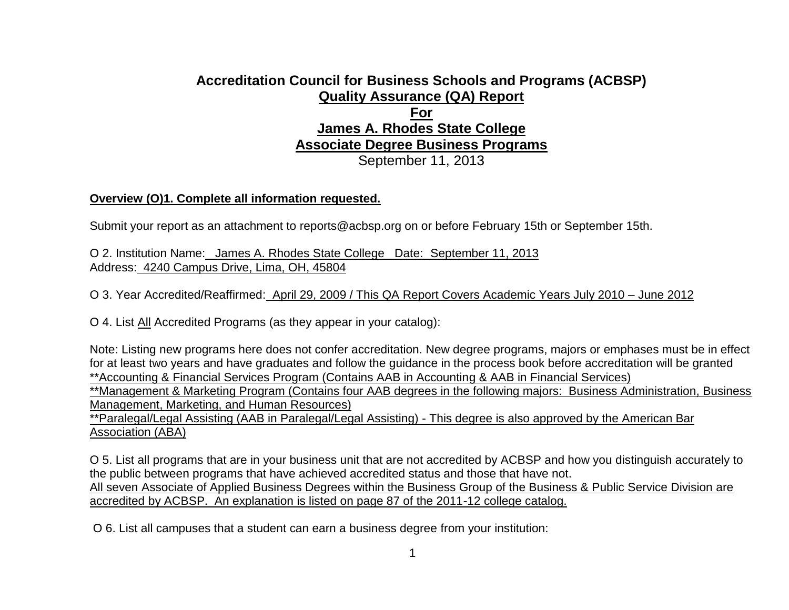# **Accreditation Council for Business Schools and Programs (ACBSP) Quality Assurance (QA) Report For James A. Rhodes State College Associate Degree Business Programs**

September 11, 2013

# **Overview (O)1. Complete all information requested.**

Submit your report as an attachment to reports@acbsp.org on or before February 15th or September 15th.

O 2. Institution Name: James A. Rhodes State College Date: September 11, 2013 Address: 4240 Campus Drive, Lima, OH, 45804

O 3. Year Accredited/Reaffirmed: April 29, 2009 / This QA Report Covers Academic Years July 2010 – June 2012

O 4. List All Accredited Programs (as they appear in your catalog):

Note: Listing new programs here does not confer accreditation. New degree programs, majors or emphases must be in effect for at least two years and have graduates and follow the guidance in the process book before accreditation will be granted \*\*Accounting & Financial Services Program (Contains AAB in Accounting & AAB in Financial Services)

\*\*Management & Marketing Program (Contains four AAB degrees in the following majors: Business Administration, Business Management, Marketing, and Human Resources)

\*\*Paralegal/Legal Assisting (AAB in Paralegal/Legal Assisting) - This degree is also approved by the American Bar Association (ABA)

O 5. List all programs that are in your business unit that are not accredited by ACBSP and how you distinguish accurately to the public between programs that have achieved accredited status and those that have not. All seven Associate of Applied Business Degrees within the Business Group of the Business & Public Service Division are accredited by ACBSP. An explanation is listed on page 87 of the 2011-12 college catalog.

O 6. List all campuses that a student can earn a business degree from your institution: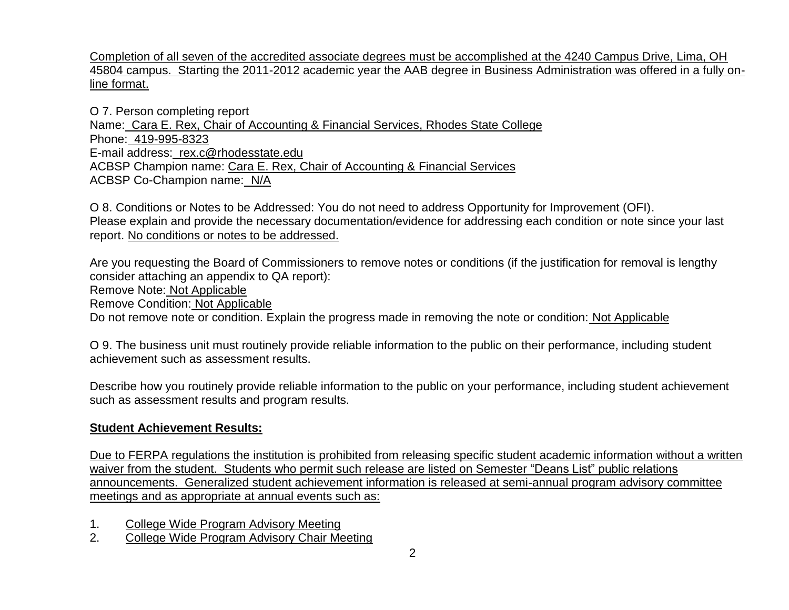Completion of all seven of the accredited associate degrees must be accomplished at the 4240 Campus Drive, Lima, OH 45804 campus. Starting the 2011-2012 academic year the AAB degree in Business Administration was offered in a fully online format.

O 7. Person completing report Name: Cara E. Rex, Chair of Accounting & Financial Services, Rhodes State College Phone: 419-995-8323 E-mail address: rex.c@rhodesstate.edu ACBSP Champion name: Cara E. Rex, Chair of Accounting & Financial Services ACBSP Co-Champion name: N/A

O 8. Conditions or Notes to be Addressed: You do not need to address Opportunity for Improvement (OFI). Please explain and provide the necessary documentation/evidence for addressing each condition or note since your last report. No conditions or notes to be addressed.

Are you requesting the Board of Commissioners to remove notes or conditions (if the justification for removal is lengthy consider attaching an appendix to QA report):

Remove Note: Not Applicable

Remove Condition: Not Applicable

Do not remove note or condition. Explain the progress made in removing the note or condition: Not Applicable

O 9. The business unit must routinely provide reliable information to the public on their performance, including student achievement such as assessment results.

Describe how you routinely provide reliable information to the public on your performance, including student achievement such as assessment results and program results.

# **Student Achievement Results:**

Due to FERPA regulations the institution is prohibited from releasing specific student academic information without a written waiver from the student. Students who permit such release are listed on Semester "Deans List" public relations announcements. Generalized student achievement information is released at semi-annual program advisory committee meetings and as appropriate at annual events such as:

1. College Wide Program Advisory Meeting

2. College Wide Program Advisory Chair Meeting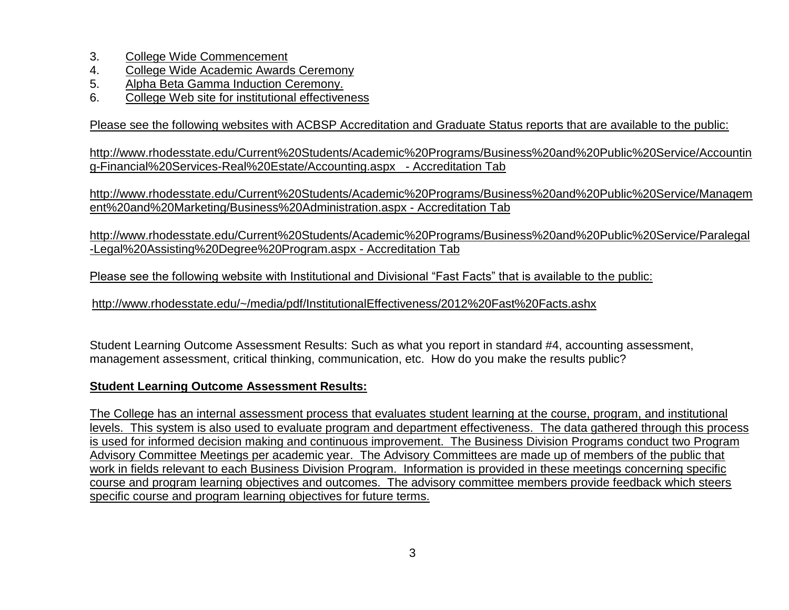- 3. College Wide Commencement
- 4. College Wide Academic Awards Ceremony
- 5. Alpha Beta Gamma Induction Ceremony.
- 6. College Web site for institutional effectiveness

Please see the following websites with ACBSP Accreditation and Graduate Status reports that are available to the public:

http://www.rhodesstate.edu/Current%20Students/Academic%20Programs/Business%20and%20Public%20Service/Accountin g-Financial%20Services-Real%20Estate/Accounting.aspx - Accreditation Tab

http://www.rhodesstate.edu/Current%20Students/Academic%20Programs/Business%20and%20Public%20Service/Managem ent%20and%20Marketing/Business%20Administration.aspx - Accreditation Tab

http://www.rhodesstate.edu/Current%20Students/Academic%20Programs/Business%20and%20Public%20Service/Paralegal -Legal%20Assisting%20Degree%20Program.aspx - Accreditation Tab

Please see the following website with Institutional and Divisional "Fast Facts" that is available to the public:

http://www.rhodesstate.edu/~/media/pdf/InstitutionalEffectiveness/2012%20Fast%20Facts.ashx

Student Learning Outcome Assessment Results: Such as what you report in standard #4, accounting assessment, management assessment, critical thinking, communication, etc. How do you make the results public?

# **Student Learning Outcome Assessment Results:**

The College has an internal assessment process that evaluates student learning at the course, program, and institutional levels. This system is also used to evaluate program and department effectiveness. The data gathered through this process is used for informed decision making and continuous improvement. The Business Division Programs conduct two Program Advisory Committee Meetings per academic year. The Advisory Committees are made up of members of the public that work in fields relevant to each Business Division Program. Information is provided in these meetings concerning specific course and program learning objectives and outcomes. The advisory committee members provide feedback which steers specific course and program learning objectives for future terms.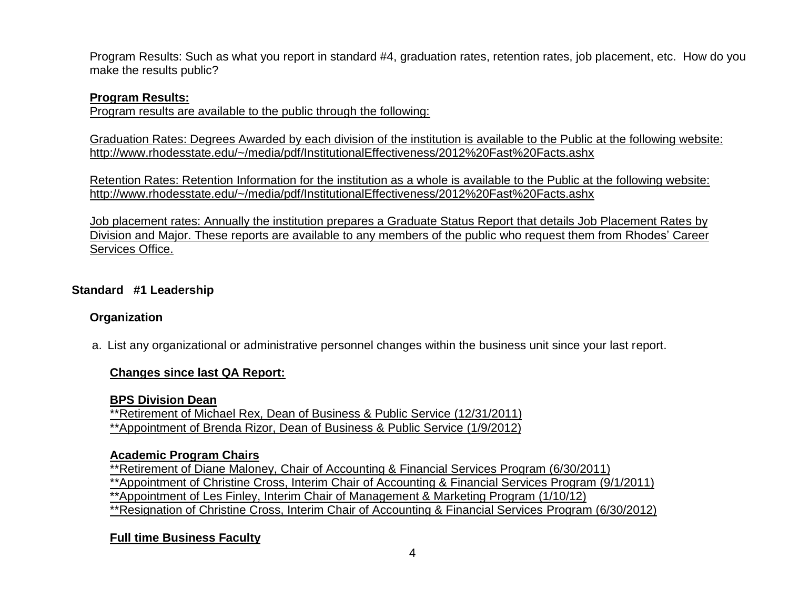Program Results: Such as what you report in standard #4, graduation rates, retention rates, job placement, etc. How do you make the results public?

# **Program Results:**

Program results are available to the public through the following:

Graduation Rates: Degrees Awarded by each division of the institution is available to the Public at the following website: http://www.rhodesstate.edu/~/media/pdf/InstitutionalEffectiveness/2012%20Fast%20Facts.ashx

Retention Rates: Retention Information for the institution as a whole is available to the Public at the following website: http://www.rhodesstate.edu/~/media/pdf/InstitutionalEffectiveness/2012%20Fast%20Facts.ashx

Job placement rates: Annually the institution prepares a Graduate Status Report that details Job Placement Rates by Division and Major. These reports are available to any members of the public who request them from Rhodes' Career Services Office.

**Standard #1 Leadership**

# **Organization**

a. List any organizational or administrative personnel changes within the business unit since your last report.

# **Changes since last QA Report:**

**BPS Division Dean**

\*\*Retirement of Michael Rex, Dean of Business & Public Service (12/31/2011) \*\*Appointment of Brenda Rizor, Dean of Business & Public Service (1/9/2012)

# **Academic Program Chairs**

\*\*Retirement of Diane Maloney, Chair of Accounting & Financial Services Program (6/30/2011) \*\*Appointment of Christine Cross, Interim Chair of Accounting & Financial Services Program (9/1/2011) \*\*Appointment of Les Finley, Interim Chair of Management & Marketing Program (1/10/12) \*\*Resignation of Christine Cross, Interim Chair of Accounting & Financial Services Program (6/30/2012)

# **Full time Business Faculty**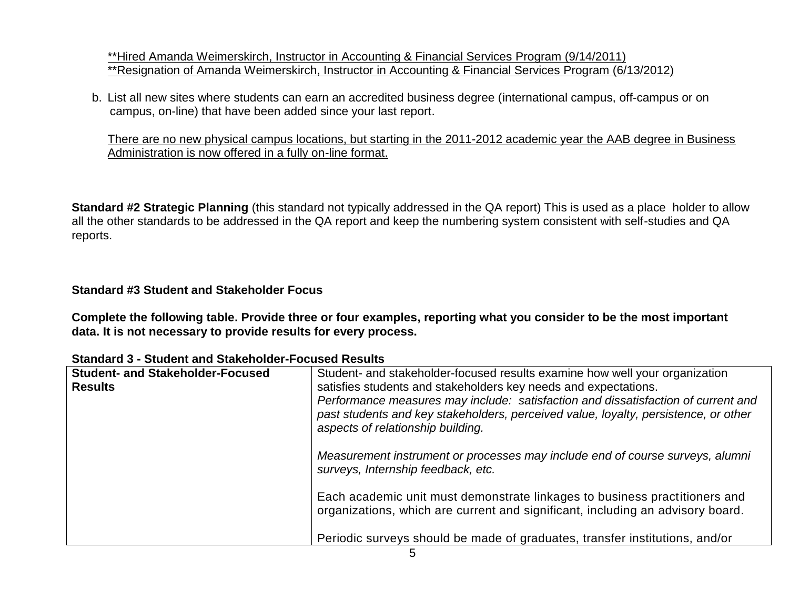\*\*Hired Amanda Weimerskirch, Instructor in Accounting & Financial Services Program (9/14/2011) \*\*Resignation of Amanda Weimerskirch, Instructor in Accounting & Financial Services Program (6/13/2012)

b. List all new sites where students can earn an accredited business degree (international campus, off-campus or on campus, on-line) that have been added since your last report.

There are no new physical campus locations, but starting in the 2011-2012 academic year the AAB degree in Business Administration is now offered in a fully on-line format.

**Standard #2 Strategic Planning** (this standard not typically addressed in the QA report) This is used as a place holder to allow all the other standards to be addressed in the QA report and keep the numbering system consistent with self-studies and QA reports.

# **Standard #3 Student and Stakeholder Focus**

**Complete the following table. Provide three or four examples, reporting what you consider to be the most important data. It is not necessary to provide results for every process.** 

| <b>Student- and Stakeholder-Focused</b><br><b>Results</b> | Student- and stakeholder-focused results examine how well your organization<br>satisfies students and stakeholders key needs and expectations.<br>Performance measures may include: satisfaction and dissatisfaction of current and<br>past students and key stakeholders, perceived value, loyalty, persistence, or other<br>aspects of relationship building. |
|-----------------------------------------------------------|-----------------------------------------------------------------------------------------------------------------------------------------------------------------------------------------------------------------------------------------------------------------------------------------------------------------------------------------------------------------|
|                                                           | Measurement instrument or processes may include end of course surveys, alumni<br>surveys, Internship feedback, etc.                                                                                                                                                                                                                                             |
|                                                           | Each academic unit must demonstrate linkages to business practitioners and<br>organizations, which are current and significant, including an advisory board.                                                                                                                                                                                                    |
|                                                           | Periodic surveys should be made of graduates, transfer institutions, and/or                                                                                                                                                                                                                                                                                     |

**Standard 3 - Student and Stakeholder-Focused Results**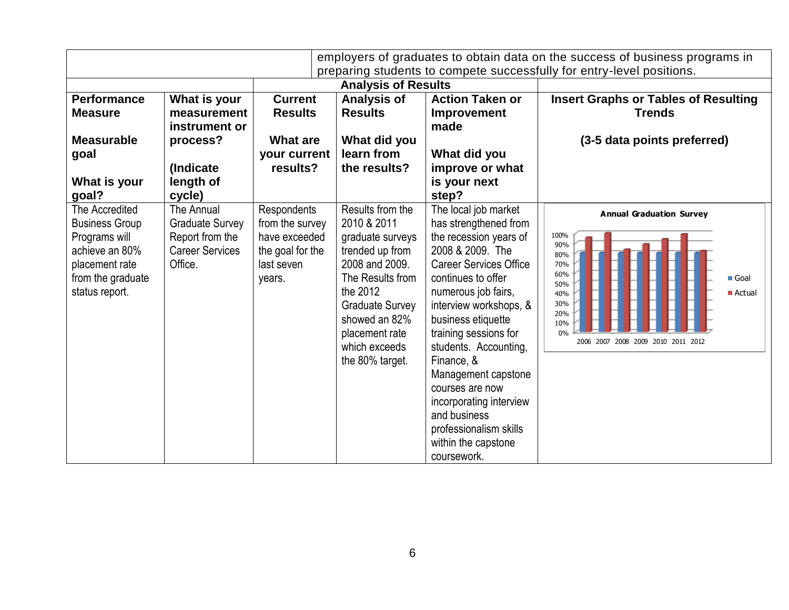|                                                                                                                                     |                                                                                              |                                                                                             |                                                                                                                                                                                                                           |                                                                                                                                                                                                                                                                                                                                                                                                                                                | employers of graduates to obtain data on the success of business programs in<br>preparing students to compete successfully for entry-level positions.                  |
|-------------------------------------------------------------------------------------------------------------------------------------|----------------------------------------------------------------------------------------------|---------------------------------------------------------------------------------------------|---------------------------------------------------------------------------------------------------------------------------------------------------------------------------------------------------------------------------|------------------------------------------------------------------------------------------------------------------------------------------------------------------------------------------------------------------------------------------------------------------------------------------------------------------------------------------------------------------------------------------------------------------------------------------------|------------------------------------------------------------------------------------------------------------------------------------------------------------------------|
|                                                                                                                                     |                                                                                              |                                                                                             | <b>Analysis of Results</b>                                                                                                                                                                                                |                                                                                                                                                                                                                                                                                                                                                                                                                                                |                                                                                                                                                                        |
| <b>Performance</b><br><b>Measure</b>                                                                                                | What is your<br>measurement<br>instrument or                                                 | <b>Current</b><br><b>Results</b>                                                            | <b>Analysis of</b><br><b>Results</b>                                                                                                                                                                                      | <b>Action Taken or</b><br><b>Improvement</b><br>made                                                                                                                                                                                                                                                                                                                                                                                           | <b>Insert Graphs or Tables of Resulting</b><br><b>Trends</b>                                                                                                           |
| <b>Measurable</b><br>goal<br>What is your<br>goal?                                                                                  | process?<br>(Indicate<br>length of<br>cycle)                                                 | <b>What are</b><br>your current<br>results?                                                 | What did you<br>learn from<br>the results?                                                                                                                                                                                | What did you<br>improve or what<br>is your next<br>step?                                                                                                                                                                                                                                                                                                                                                                                       | (3-5 data points preferred)                                                                                                                                            |
| The Accredited<br><b>Business Group</b><br>Programs will<br>achieve an 80%<br>placement rate<br>from the graduate<br>status report. | The Annual<br><b>Graduate Survey</b><br>Report from the<br><b>Career Services</b><br>Office. | Respondents<br>from the survey<br>have exceeded<br>the goal for the<br>last seven<br>years. | Results from the<br>2010 & 2011<br>graduate surveys<br>trended up from<br>2008 and 2009.<br>The Results from<br>the 2012<br><b>Graduate Survey</b><br>showed an 82%<br>placement rate<br>which exceeds<br>the 80% target. | The local job market<br>has strengthened from<br>the recession years of<br>2008 & 2009. The<br><b>Career Services Office</b><br>continues to offer<br>numerous job fairs,<br>interview workshops, &<br>business etiquette<br>training sessions for<br>students. Accounting,<br>Finance, &<br>Management capstone<br>courses are now<br>incorporating interview<br>and business<br>professionalism skills<br>within the capstone<br>coursework. | <b>Annual Graduation Survey</b><br>100%<br>90%<br>80%<br>70%<br>60%<br>Goal<br>50%<br>■ Actual<br>40%<br>30%<br>20%<br>10%<br>0%<br>2006 2007 2008 2009 2010 2011 2012 |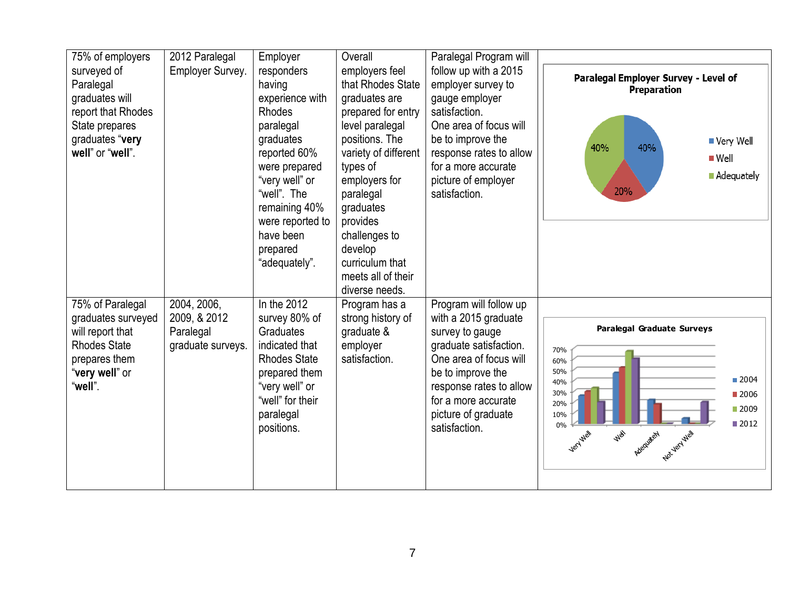| 75% of employers<br>surveyed of<br>Paralegal<br>graduates will<br>report that Rhodes<br>State prepares<br>graduates "very<br>well" or "well". | 2012 Paralegal<br>Employer Survey.                            | Employer<br>responders<br>having<br>experience with<br><b>Rhodes</b><br>paralegal<br>graduates<br>reported 60%<br>were prepared<br>"very well" or<br>"well". The<br>remaining 40%<br>were reported to<br>have been<br>prepared<br>"adequately". | Overall<br>employers feel<br>that Rhodes State<br>graduates are<br>prepared for entry<br>level paralegal<br>positions. The<br>variety of different<br>types of<br>employers for<br>paralegal<br>graduates<br>provides<br>challenges to<br>develop<br>curriculum that | Paralegal Program will<br>follow up with a 2015<br>employer survey to<br>gauge employer<br>satisfaction.<br>One area of focus will<br>be to improve the<br>response rates to allow<br>for a more accurate<br>picture of employer<br>satisfaction. | Paralegal Employer Survey - Level of<br>Preparation<br>■ Very Well<br>40%<br>40%<br>$\blacksquare$ Well<br><b>Adequately</b><br>20%                                                        |
|-----------------------------------------------------------------------------------------------------------------------------------------------|---------------------------------------------------------------|-------------------------------------------------------------------------------------------------------------------------------------------------------------------------------------------------------------------------------------------------|----------------------------------------------------------------------------------------------------------------------------------------------------------------------------------------------------------------------------------------------------------------------|---------------------------------------------------------------------------------------------------------------------------------------------------------------------------------------------------------------------------------------------------|--------------------------------------------------------------------------------------------------------------------------------------------------------------------------------------------|
| 75% of Paralegal<br>graduates surveyed<br>will report that<br><b>Rhodes State</b><br>prepares them<br>"very well" or<br>"well".               | 2004, 2006,<br>2009, & 2012<br>Paralegal<br>graduate surveys. | In the 2012<br>survey 80% of<br>Graduates<br>indicated that<br><b>Rhodes State</b><br>prepared them<br>"very well" or<br>"well" for their<br>paralegal<br>positions.                                                                            | meets all of their<br>diverse needs.<br>Program has a<br>strong history of<br>graduate &<br>employer<br>satisfaction.                                                                                                                                                | Program will follow up<br>with a 2015 graduate<br>survey to gauge<br>graduate satisfaction.<br>One area of focus will<br>be to improve the<br>response rates to allow<br>for a more accurate<br>picture of graduate<br>satisfaction.              | <b>Paralegal Graduate Surveys</b><br>70%<br>60%<br>50%<br>■ 2004<br>40%<br>30%<br>■ 2006<br>20%<br>■ 2009<br>10%<br>■2012<br>0%<br><b>Well</b><br>Not year well<br>Very Well<br>Adequately |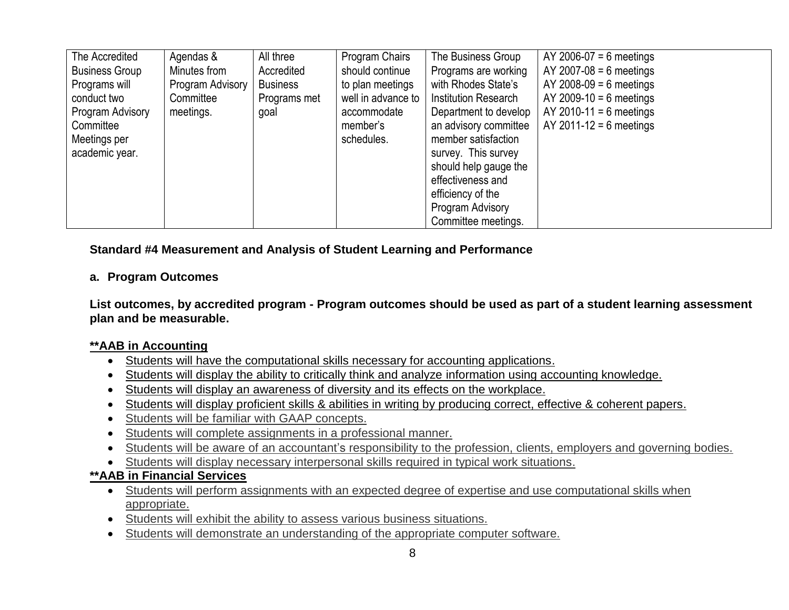| The Accredited        | Agendas &        | All three       | Program Chairs     | The Business Group          | AY 2006-07 = 6 meetings   |
|-----------------------|------------------|-----------------|--------------------|-----------------------------|---------------------------|
| <b>Business Group</b> | Minutes from     | Accredited      | should continue    | Programs are working        | $AY$ 2007-08 = 6 meetings |
| Programs will         | Program Advisory | <b>Business</b> | to plan meetings   | with Rhodes State's         | $AY$ 2008-09 = 6 meetings |
| conduct two           | Committee        | Programs met    | well in advance to | <b>Institution Research</b> | AY 2009-10 = 6 meetings   |
| Program Advisory      | meetings.        | goal            | accommodate        | Department to develop       | AY 2010-11 = 6 meetings   |
| Committee             |                  |                 | member's           | an advisory committee       | $AY$ 2011-12 = 6 meetings |
| Meetings per          |                  |                 | schedules.         | member satisfaction         |                           |
| academic year.        |                  |                 |                    | survey. This survey         |                           |
|                       |                  |                 |                    | should help gauge the       |                           |
|                       |                  |                 |                    | effectiveness and           |                           |
|                       |                  |                 |                    | efficiency of the           |                           |
|                       |                  |                 |                    | Program Advisory            |                           |
|                       |                  |                 |                    | Committee meetings.         |                           |

**Standard #4 Measurement and Analysis of Student Learning and Performance**

# **a. Program Outcomes**

**List outcomes, by accredited program - Program outcomes should be used as part of a student learning assessment plan and be measurable.** 

# **\*\*AAB in Accounting**

- Students will have the computational skills necessary for accounting applications.
- Students will display the ability to critically think and analyze information using accounting knowledge.
- Students will display an awareness of diversity and its effects on the workplace.
- Students will display proficient skills & abilities in writing by producing correct, effective & coherent papers.
- Students will be familiar with GAAP concepts.
- Students will complete assignments in a professional manner.
- Students will be aware of an accountant's responsibility to the profession, clients, employers and governing bodies.
- Students will display necessary interpersonal skills required in typical work situations.

# **\*\*AAB in Financial Services**

- Students will perform assignments with an expected degree of expertise and use computational skills when appropriate.
- Students will exhibit the ability to assess various business situations.
- Students will demonstrate an understanding of the appropriate computer software.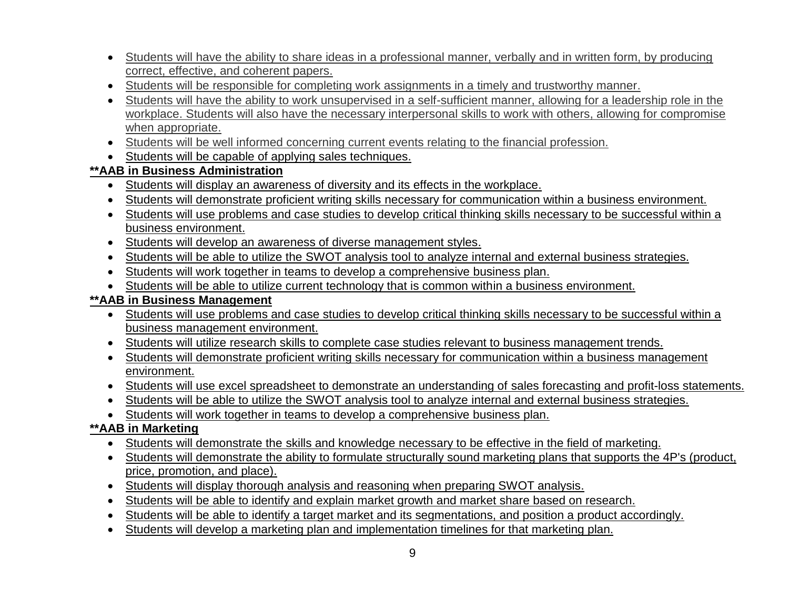- Students will have the ability to share ideas in a professional manner, verbally and in written form, by producing correct, effective, and coherent papers.
- Students will be responsible for completing work assignments in a timely and trustworthy manner.
- Students will have the ability to work unsupervised in a self-sufficient manner, allowing for a leadership role in the workplace. Students will also have the necessary interpersonal skills to work with others, allowing for compromise when appropriate.
- Students will be well informed concerning current events relating to the financial profession.
- Students will be capable of applying sales techniques.

# **\*\*AAB in Business Administration**

- Students will display an awareness of diversity and its effects in the workplace.
- Students will demonstrate proficient writing skills necessary for communication within a business environment.
- Students will use problems and case studies to develop critical thinking skills necessary to be successful within a business environment.
- Students will develop an awareness of diverse management styles.
- Students will be able to utilize the SWOT analysis tool to analyze internal and external business strategies.
- Students will work together in teams to develop a comprehensive business plan.
- Students will be able to utilize current technology that is common within a business environment.

# **\*\*AAB in Business Management**

- Students will use problems and case studies to develop critical thinking skills necessary to be successful within a business management environment.
- Students will utilize research skills to complete case studies relevant to business management trends.
- Students will demonstrate proficient writing skills necessary for communication within a business management environment.
- Students will use excel spreadsheet to demonstrate an understanding of sales forecasting and profit-loss statements.
- Students will be able to utilize the SWOT analysis tool to analyze internal and external business strategies.
- Students will work together in teams to develop a comprehensive business plan.

# **\*\*AAB in Marketing**

- Students will demonstrate the skills and knowledge necessary to be effective in the field of marketing.
- Students will demonstrate the ability to formulate structurally sound marketing plans that supports the 4P's (product, price, promotion, and place).
- Students will display thorough analysis and reasoning when preparing SWOT analysis.
- Students will be able to identify and explain market growth and market share based on research.
- Students will be able to identify a target market and its segmentations, and position a product accordingly.
- Students will develop a marketing plan and implementation timelines for that marketing plan.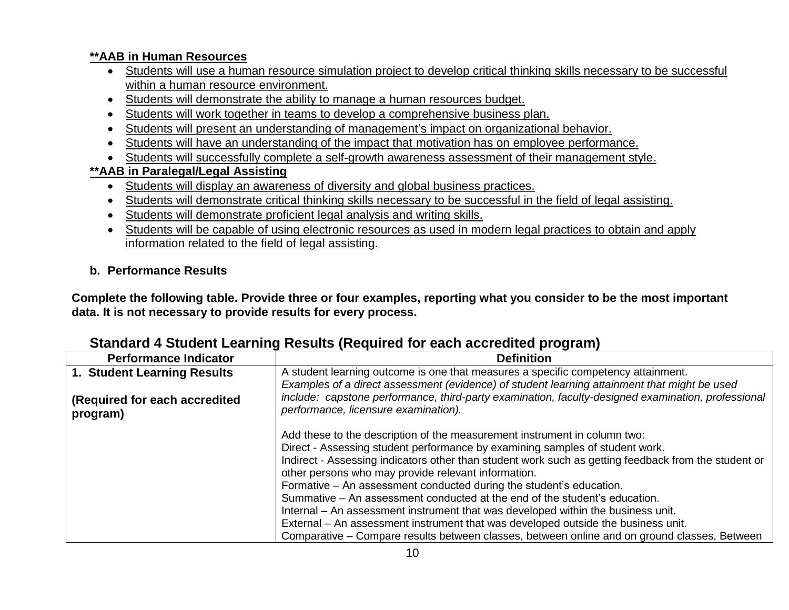# **\*\*AAB in Human Resources**

- Students will use a human resource simulation project to develop critical thinking skills necessary to be successful within a human resource environment.
- Students will demonstrate the ability to manage a human resources budget.
- Students will work together in teams to develop a comprehensive business plan.
- Students will present an understanding of management's impact on organizational behavior.
- Students will have an understanding of the impact that motivation has on employee performance.
- Students will successfully complete a self-growth awareness assessment of their management style.

# **\*\*AAB in Paralegal/Legal Assisting**

- Students will display an awareness of diversity and global business practices.
- Students will demonstrate critical thinking skills necessary to be successful in the field of legal assisting.
- Students will demonstrate proficient legal analysis and writing skills.
- Students will be capable of using electronic resources as used in modern legal practices to obtain and apply information related to the field of legal assisting.

# **b. Performance Results**

**Complete the following table. Provide three or four examples, reporting what you consider to be the most important data. It is not necessary to provide results for every process.** 

#### **Performance Indicator Definition 1. Student Learning Results (Required for each accredited program)** A student learning outcome is one that measures a specific competency attainment. *Examples of a direct assessment (evidence) of student learning attainment that might be used include: capstone performance, third-party examination, faculty-designed examination, professional performance, licensure examination).* Add these to the description of the measurement instrument in column two: Direct - Assessing student performance by examining samples of student work. Indirect - Assessing indicators other than student work such as getting feedback from the student or other persons who may provide relevant information. Formative – An assessment conducted during the student's education. Summative – An assessment conducted at the end of the student's education. Internal – An assessment instrument that was developed within the business unit. External – An assessment instrument that was developed outside the business unit. Comparative – Compare results between classes, between online and on ground classes, Between

# **Standard 4 Student Learning Results (Required for each accredited program)**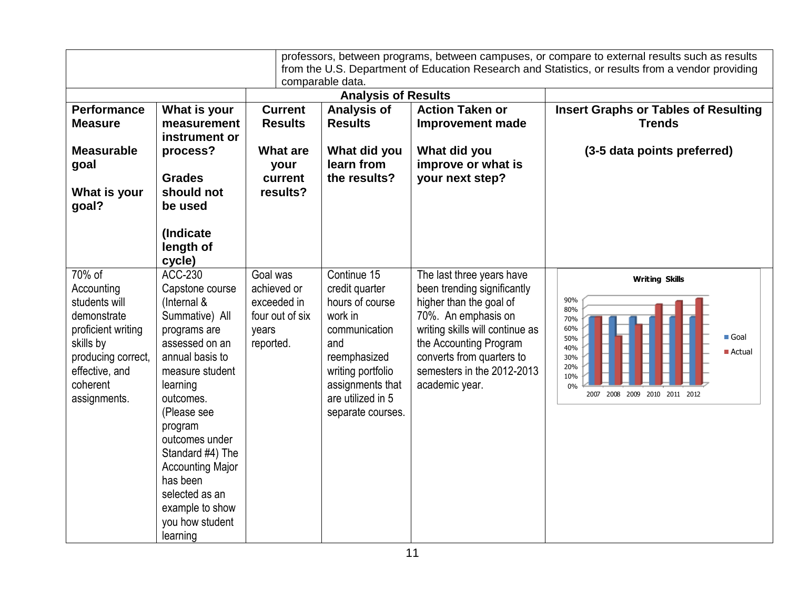|                                                                                                                                                             |                                                                                                                                                                                                                                                                                                                                                |                                                                                 | comparable data.                                                                                                                                                                       |                                                                                                                                                                                                                                                      | professors, between programs, between campuses, or compare to external results such as results<br>from the U.S. Department of Education Research and Statistics, or results from a vendor providing |  |  |
|-------------------------------------------------------------------------------------------------------------------------------------------------------------|------------------------------------------------------------------------------------------------------------------------------------------------------------------------------------------------------------------------------------------------------------------------------------------------------------------------------------------------|---------------------------------------------------------------------------------|----------------------------------------------------------------------------------------------------------------------------------------------------------------------------------------|------------------------------------------------------------------------------------------------------------------------------------------------------------------------------------------------------------------------------------------------------|-----------------------------------------------------------------------------------------------------------------------------------------------------------------------------------------------------|--|--|
|                                                                                                                                                             |                                                                                                                                                                                                                                                                                                                                                |                                                                                 | <b>Analysis of Results</b>                                                                                                                                                             |                                                                                                                                                                                                                                                      |                                                                                                                                                                                                     |  |  |
| <b>Performance</b><br><b>Measure</b>                                                                                                                        | What is your<br>measurement<br>instrument or                                                                                                                                                                                                                                                                                                   | <b>Current</b><br><b>Results</b>                                                | <b>Analysis of</b><br><b>Results</b>                                                                                                                                                   | <b>Action Taken or</b><br><b>Improvement made</b>                                                                                                                                                                                                    | <b>Insert Graphs or Tables of Resulting</b><br><b>Trends</b>                                                                                                                                        |  |  |
| <b>Measurable</b><br>goal                                                                                                                                   | process?<br><b>Grades</b>                                                                                                                                                                                                                                                                                                                      | <b>What are</b><br>your<br>current                                              | What did you<br>learn from<br>the results?                                                                                                                                             | What did you<br>improve or what is<br>your next step?                                                                                                                                                                                                | (3-5 data points preferred)                                                                                                                                                                         |  |  |
| What is your<br>goal?                                                                                                                                       | should not<br>be used                                                                                                                                                                                                                                                                                                                          | results?                                                                        |                                                                                                                                                                                        |                                                                                                                                                                                                                                                      |                                                                                                                                                                                                     |  |  |
|                                                                                                                                                             | (Indicate<br>length of<br>cycle)                                                                                                                                                                                                                                                                                                               |                                                                                 |                                                                                                                                                                                        |                                                                                                                                                                                                                                                      |                                                                                                                                                                                                     |  |  |
| 70% of<br>Accounting<br>students will<br>demonstrate<br>proficient writing<br>skills by<br>producing correct,<br>effective, and<br>coherent<br>assignments. | <b>ACC-230</b><br>Capstone course<br>(Internal &<br>Summative) All<br>programs are<br>assessed on an<br>annual basis to<br>measure student<br>learning<br>outcomes.<br>(Please see<br>program<br>outcomes under<br>Standard #4) The<br><b>Accounting Major</b><br>has been<br>selected as an<br>example to show<br>you how student<br>learning | Goal was<br>achieved or<br>exceeded in<br>four out of six<br>years<br>reported. | Continue 15<br>credit quarter<br>hours of course<br>work in<br>communication<br>and<br>reemphasized<br>writing portfolio<br>assignments that<br>are utilized in 5<br>separate courses. | The last three years have<br>been trending significantly<br>higher than the goal of<br>70%. An emphasis on<br>writing skills will continue as<br>the Accounting Program<br>converts from quarters to<br>semesters in the 2012-2013<br>academic year. | <b>Writing Skills</b><br>90%<br>80%<br>70%<br>60%<br>Goal<br>50%<br>40%<br>Actual<br>30%<br>20%<br>10%<br>0%<br>2007 2008 2009 2010 2011 2012                                                       |  |  |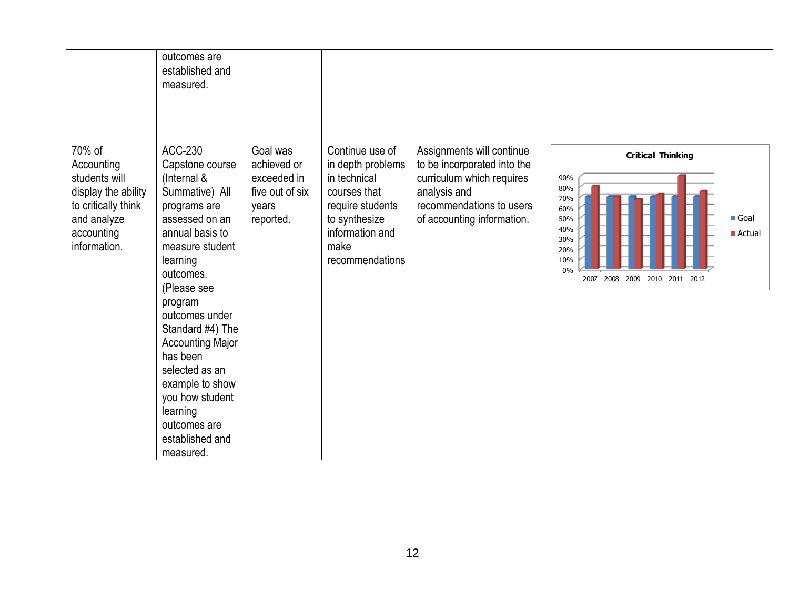|                                                                                                                                  | outcomes are<br>established and<br>measured.                                                                                                                                                             |                                                                                 |                                                                                                                                                         |                                                                                                                                                                 |                                                                                                                                                           |
|----------------------------------------------------------------------------------------------------------------------------------|----------------------------------------------------------------------------------------------------------------------------------------------------------------------------------------------------------|---------------------------------------------------------------------------------|---------------------------------------------------------------------------------------------------------------------------------------------------------|-----------------------------------------------------------------------------------------------------------------------------------------------------------------|-----------------------------------------------------------------------------------------------------------------------------------------------------------|
| 70% of<br>Accounting<br>students will<br>display the ability<br>to critically think<br>and analyze<br>accounting<br>information. | ACC-230<br>Capstone course<br>(Internal &<br>Summative) All<br>programs are<br>assessed on an<br>annual basis to<br>measure student<br>learning<br>outcomes.<br>(Please see                              | Goal was<br>achieved or<br>exceeded in<br>five out of six<br>years<br>reported. | Continue use of<br>in depth problems<br>in technical<br>courses that<br>require students<br>to synthesize<br>information and<br>make<br>recommendations | Assignments will continue<br>to be incorporated into the<br>curriculum which requires<br>analysis and<br>recommendations to users<br>of accounting information. | <b>Critical Thinking</b><br>90%<br>80%<br>70%<br>60%<br>Goal<br>50%<br>40%<br>Actual<br>30%<br>20%<br>10%<br>0%<br>2008<br>2009<br>2010 2011 2012<br>2007 |
|                                                                                                                                  | program<br>outcomes under<br>Standard #4) The<br><b>Accounting Major</b><br>has been<br>selected as an<br>example to show<br>you how student<br>learning<br>outcomes are<br>established and<br>measured. |                                                                                 |                                                                                                                                                         |                                                                                                                                                                 |                                                                                                                                                           |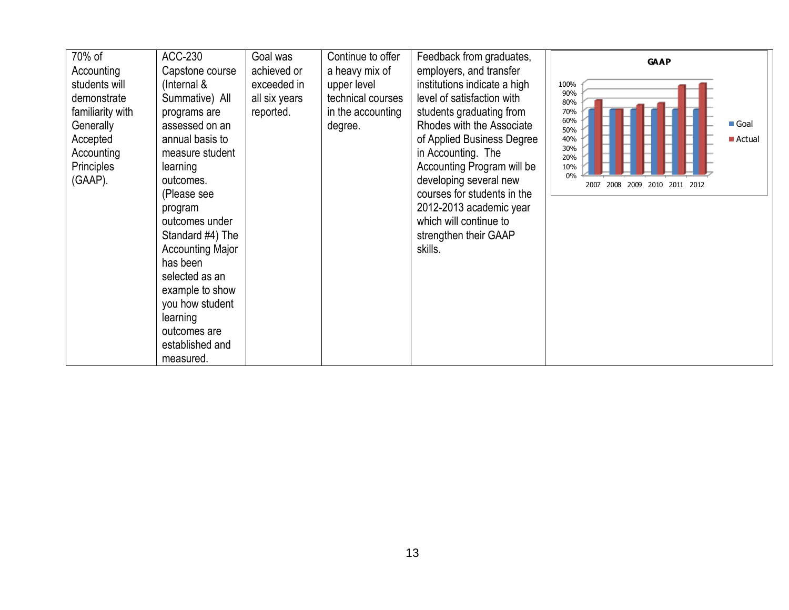| 70% of                                                                                                           | ACC-230                                                                                                                                                                                                                                                                                                                                                   | Goal was                                  | Continue to offer                                                | Feedback from graduates,                                                                                                                                                                                                                                                                                                                                | <b>GAAP</b>                                                                                                                          |
|------------------------------------------------------------------------------------------------------------------|-----------------------------------------------------------------------------------------------------------------------------------------------------------------------------------------------------------------------------------------------------------------------------------------------------------------------------------------------------------|-------------------------------------------|------------------------------------------------------------------|---------------------------------------------------------------------------------------------------------------------------------------------------------------------------------------------------------------------------------------------------------------------------------------------------------------------------------------------------------|--------------------------------------------------------------------------------------------------------------------------------------|
| Accounting                                                                                                       | Capstone course                                                                                                                                                                                                                                                                                                                                           | achieved or                               | a heavy mix of                                                   | employers, and transfer                                                                                                                                                                                                                                                                                                                                 |                                                                                                                                      |
| students will<br>demonstrate<br>familiarity with<br>Generally<br>Accepted<br>Accounting<br>Principles<br>(GAAP). | (Internal &<br>Summative) All<br>programs are<br>assessed on an<br>annual basis to<br>measure student<br>learning<br>outcomes.<br>(Please see<br>program<br>outcomes under<br>Standard #4) The<br><b>Accounting Major</b><br>has been<br>selected as an<br>example to show<br>you how student<br>learning<br>outcomes are<br>established and<br>measured. | exceeded in<br>all six years<br>reported. | upper level<br>technical courses<br>in the accounting<br>degree. | institutions indicate a high<br>level of satisfaction with<br>students graduating from<br>Rhodes with the Associate<br>of Applied Business Degree<br>in Accounting. The<br>Accounting Program will be<br>developing several new<br>courses for students in the<br>2012-2013 academic year<br>which will continue to<br>strengthen their GAAP<br>skills. | 100%<br>90%<br>80%<br>70%<br>60%<br>Goal<br>50%<br>■ Actual<br>40%<br>30%<br>20%<br>10%<br>0%<br>2008<br>2009 2010 2011 2012<br>2007 |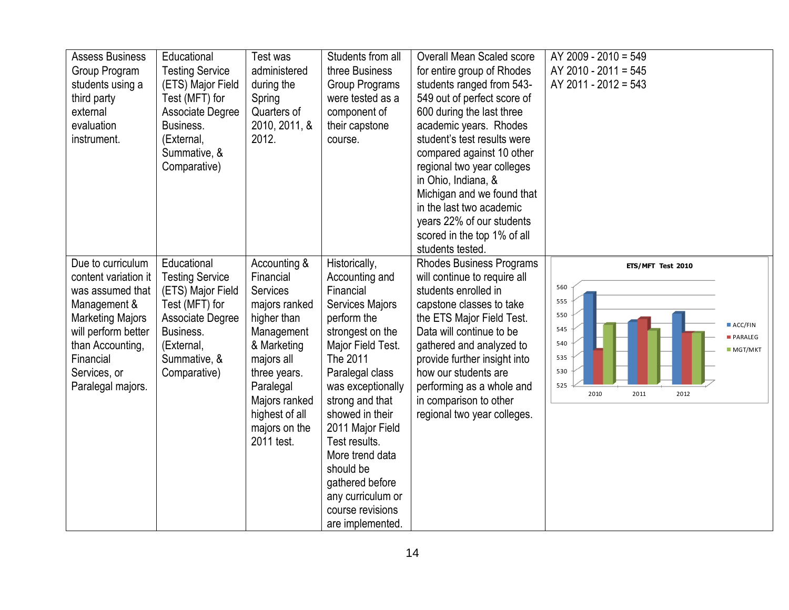| <b>Assess Business</b><br>Group Program<br>students using a<br>third party<br>external<br>evaluation<br>instrument.                                                                                   | Educational<br><b>Testing Service</b><br>(ETS) Major Field<br>Test (MFT) for<br>Associate Degree<br>Business.<br>(External,<br>Summative, &<br>Comparative) | Test was<br>administered<br>during the<br>Spring<br>Quarters of<br>2010, 2011, &<br>2012.                                                                                                                              | Students from all<br>three Business<br>Group Programs<br>were tested as a<br>component of<br>their capstone<br>course.                                                                                                                                                                                                                                                        | <b>Overall Mean Scaled score</b><br>for entire group of Rhodes<br>students ranged from 543-<br>549 out of perfect score of<br>600 during the last three<br>academic years. Rhodes<br>student's test results were<br>compared against 10 other<br>regional two year colleges<br>in Ohio, Indiana, &<br>Michigan and we found that<br>in the last two academic<br>years 22% of our students<br>scored in the top 1% of all<br>students tested. | AY 2009 - 2010 = 549<br>AY 2010 - 2011 = 545<br>AY 2011 - 2012 = 543                                                                      |
|-------------------------------------------------------------------------------------------------------------------------------------------------------------------------------------------------------|-------------------------------------------------------------------------------------------------------------------------------------------------------------|------------------------------------------------------------------------------------------------------------------------------------------------------------------------------------------------------------------------|-------------------------------------------------------------------------------------------------------------------------------------------------------------------------------------------------------------------------------------------------------------------------------------------------------------------------------------------------------------------------------|----------------------------------------------------------------------------------------------------------------------------------------------------------------------------------------------------------------------------------------------------------------------------------------------------------------------------------------------------------------------------------------------------------------------------------------------|-------------------------------------------------------------------------------------------------------------------------------------------|
| Due to curriculum<br>content variation it<br>was assumed that<br>Management &<br><b>Marketing Majors</b><br>will perform better<br>than Accounting,<br>Financial<br>Services, or<br>Paralegal majors. | Educational<br><b>Testing Service</b><br>(ETS) Major Field<br>Test (MFT) for<br>Associate Degree<br>Business.<br>(External,<br>Summative, &<br>Comparative) | Accounting &<br>Financial<br><b>Services</b><br>majors ranked<br>higher than<br>Management<br>& Marketing<br>majors all<br>three years.<br>Paralegal<br>Majors ranked<br>highest of all<br>majors on the<br>2011 test. | Historically,<br>Accounting and<br>Financial<br><b>Services Majors</b><br>perform the<br>strongest on the<br>Major Field Test.<br>The 2011<br>Paralegal class<br>was exceptionally<br>strong and that<br>showed in their<br>2011 Major Field<br>Test results.<br>More trend data<br>should be<br>gathered before<br>any curriculum or<br>course revisions<br>are implemented. | <b>Rhodes Business Programs</b><br>will continue to require all<br>students enrolled in<br>capstone classes to take<br>the ETS Major Field Test.<br>Data will continue to be<br>gathered and analyzed to<br>provide further insight into<br>how our students are<br>performing as a whole and<br>in comparison to other<br>regional two year colleges.                                                                                       | ETS/MFT Test 2010<br>560<br>555<br>550<br>ACC/FIN<br>545<br><b>PARALEG</b><br>540<br>MGT/MKT<br>535<br>530<br>525<br>2010<br>2011<br>2012 |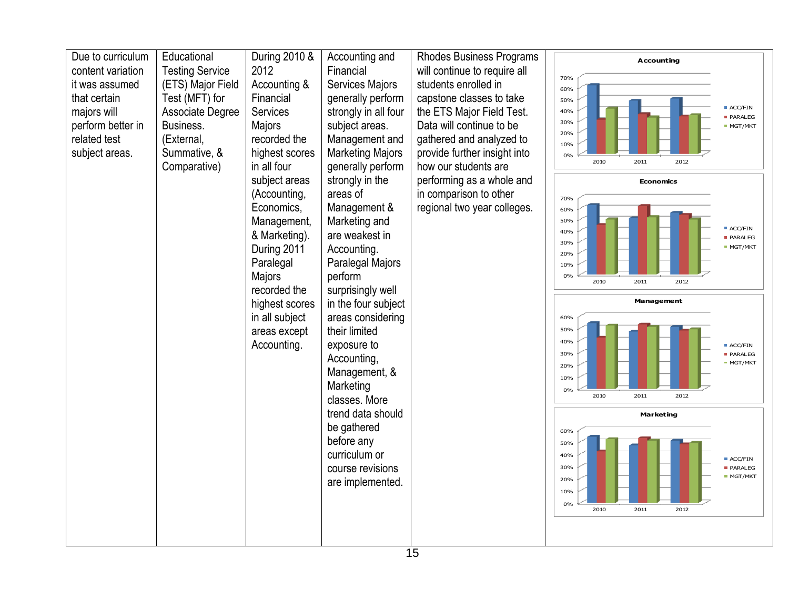| Due to curriculum | Educational            | During 2010 &          | Accounting and              | <b>Rhodes Business Programs</b> |            | <b>Accounting</b> |      |                                  |
|-------------------|------------------------|------------------------|-----------------------------|---------------------------------|------------|-------------------|------|----------------------------------|
| content variation | <b>Testing Service</b> | 2012                   | Financial                   | will continue to require all    | 70%        |                   |      |                                  |
| it was assumed    | (ETS) Major Field      | Accounting &           | Services Majors             | students enrolled in            | 60%        |                   |      |                                  |
| that certain      | Test (MFT) for         | Financial              | generally perform           | capstone classes to take        | 50%        |                   |      | ACC/FIN                          |
| majors will       | Associate Degree       | <b>Services</b>        | strongly in all four        | the ETS Major Field Test.       | 40%        |                   |      | <b>PARALEG</b>                   |
| perform better in | Business.              | Majors                 | subject areas.              | Data will continue to be        | 30%<br>20% |                   |      | <b>MGT/MKT</b>                   |
| related test      | (External,             | recorded the           | Management and              | gathered and analyzed to        | 10%        |                   |      |                                  |
| subject areas.    | Summative, &           | highest scores         | <b>Marketing Majors</b>     | provide further insight into    | 0%<br>2010 | 2011              | 2012 |                                  |
|                   | Comparative)           | in all four            | generally perform           | how our students are            |            |                   |      |                                  |
|                   |                        | subject areas          | strongly in the             | performing as a whole and       |            | <b>Economics</b>  |      |                                  |
|                   |                        | (Accounting,           | areas of                    | in comparison to other          | 70%        |                   |      |                                  |
|                   |                        | Economics,             | Management &                | regional two year colleges.     | 60%        |                   |      |                                  |
|                   |                        | Management,            | Marketing and               |                                 | 50%<br>40% |                   |      | ACC/FIN                          |
|                   |                        | & Marketing).          | are weakest in              |                                 | 30%        |                   |      | <b>PARALEG</b><br><b>MGT/MKT</b> |
|                   |                        | During 2011            | Accounting.                 |                                 | 20%        |                   |      |                                  |
|                   |                        | Paralegal              | Paralegal Majors<br>perform |                                 | 10%<br>0%  |                   |      |                                  |
|                   |                        | Majors<br>recorded the | surprisingly well           |                                 | 2010       | 2011              | 2012 |                                  |
|                   |                        |                        |                             |                                 |            |                   |      |                                  |
|                   |                        |                        |                             |                                 |            | Management        |      |                                  |
|                   |                        | highest scores         | in the four subject         |                                 |            |                   |      |                                  |
|                   |                        | in all subject         | areas considering           |                                 | 60%<br>50% |                   |      |                                  |
|                   |                        | areas except           | their limited               |                                 | 40%        |                   |      |                                  |
|                   |                        | Accounting.            | exposure to                 |                                 | 30%        |                   |      | ACC/FIN<br>PARALEG               |
|                   |                        |                        | Accounting,                 |                                 | 20%        |                   |      | MGT/MKT                          |
|                   |                        |                        | Management, &               |                                 | 10%        |                   |      |                                  |
|                   |                        |                        | Marketing<br>classes. More  |                                 | 0%<br>2010 | 2011              | 2012 |                                  |
|                   |                        |                        | trend data should           |                                 |            | Marketing         |      |                                  |
|                   |                        |                        | be gathered                 |                                 | 60%        |                   |      |                                  |
|                   |                        |                        | before any                  |                                 | 50%        |                   |      |                                  |
|                   |                        |                        | curriculum or               |                                 | 40%        |                   |      | ACC/FIN                          |
|                   |                        |                        | course revisions            |                                 | 30%        |                   |      | PARALEG                          |
|                   |                        |                        | are implemented.            |                                 | 20%        |                   |      | <b>MGT/MKT</b>                   |
|                   |                        |                        |                             |                                 | 10%<br>0%  |                   |      |                                  |
|                   |                        |                        |                             |                                 | 2010       | 2011              | 2012 |                                  |
|                   |                        |                        |                             |                                 |            |                   |      |                                  |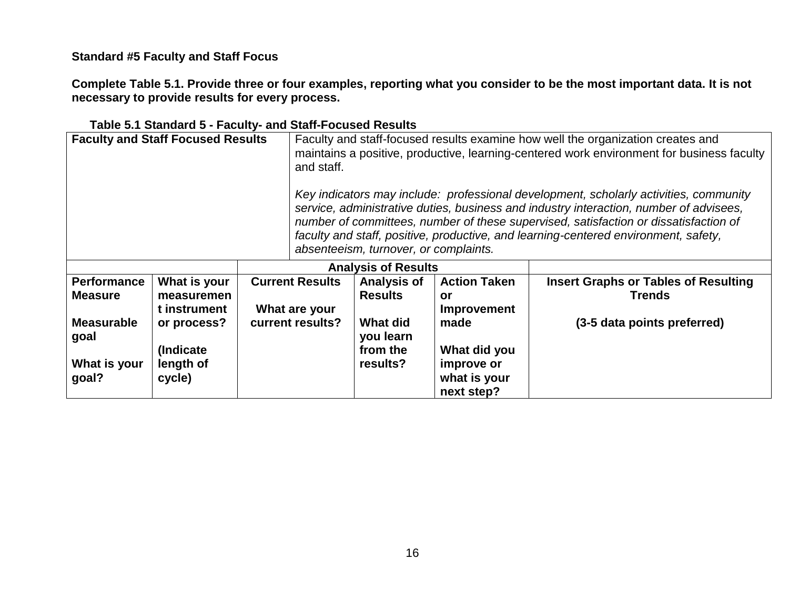**Standard #5 Faculty and Staff Focus**

**Complete Table 5.1. Provide three or four examples, reporting what you consider to be the most important data. It is not necessary to provide results for every process.** 

| <b>Faculty and Staff Focused Results</b> |                           |  | Faculty and staff-focused results examine how well the organization creates and<br>maintains a positive, productive, learning-centered work environment for business faculty<br>and staff. |                                                                                                                                                                                                                                                                                                                                                                                                         |                                          |                                             |  |  |
|------------------------------------------|---------------------------|--|--------------------------------------------------------------------------------------------------------------------------------------------------------------------------------------------|---------------------------------------------------------------------------------------------------------------------------------------------------------------------------------------------------------------------------------------------------------------------------------------------------------------------------------------------------------------------------------------------------------|------------------------------------------|---------------------------------------------|--|--|
|                                          |                           |  |                                                                                                                                                                                            | Key indicators may include: professional development, scholarly activities, community<br>service, administrative duties, business and industry interaction, number of advisees,<br>number of committees, number of these supervised, satisfaction or dissatisfaction of<br>faculty and staff, positive, productive, and learning-centered environment, safety,<br>absenteeism, turnover, or complaints. |                                          |                                             |  |  |
|                                          |                           |  | <b>Analysis of Results</b>                                                                                                                                                                 |                                                                                                                                                                                                                                                                                                                                                                                                         |                                          |                                             |  |  |
| <b>Performance</b>                       | What is your              |  | <b>Current Results</b>                                                                                                                                                                     | <b>Analysis of</b>                                                                                                                                                                                                                                                                                                                                                                                      | <b>Action Taken</b>                      | <b>Insert Graphs or Tables of Resulting</b> |  |  |
| <b>Measure</b>                           | measuremen                |  |                                                                                                                                                                                            | <b>Results</b>                                                                                                                                                                                                                                                                                                                                                                                          | or                                       | <b>Trends</b>                               |  |  |
|                                          | t instrument              |  | What are your                                                                                                                                                                              |                                                                                                                                                                                                                                                                                                                                                                                                         | <b>Improvement</b>                       |                                             |  |  |
| <b>Measurable</b><br>goal                | or process?<br>(Indicate) |  | current results?                                                                                                                                                                           | <b>What did</b><br>you learn<br>from the                                                                                                                                                                                                                                                                                                                                                                | made<br>What did you                     | (3-5 data points preferred)                 |  |  |
| What is your<br>goal?                    | length of<br>cycle)       |  |                                                                                                                                                                                            | results?                                                                                                                                                                                                                                                                                                                                                                                                | improve or<br>what is your<br>next step? |                                             |  |  |

# **Table 5.1 Standard 5 - Faculty- and Staff-Focused Results**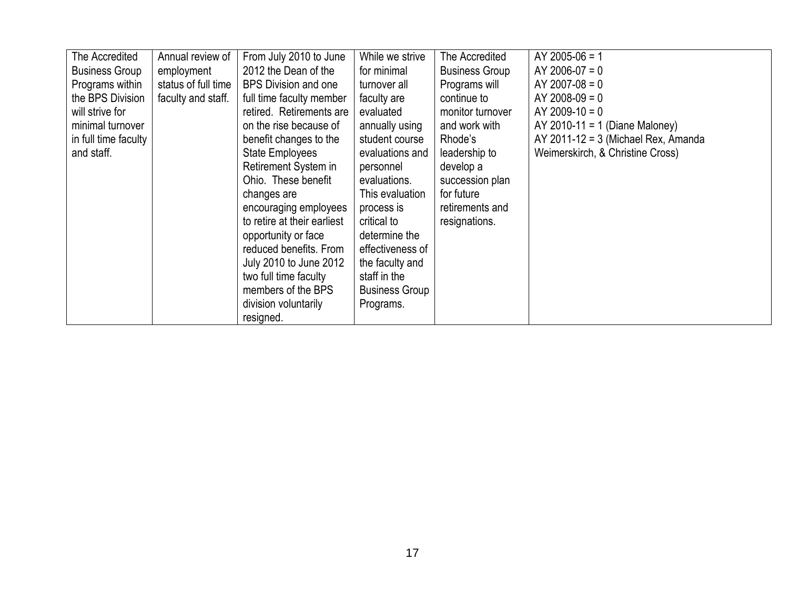| The Accredited        | Annual review of    | From July 2010 to June      | While we strive       | The Accredited        | $AY$ 2005-06 = 1                      |
|-----------------------|---------------------|-----------------------------|-----------------------|-----------------------|---------------------------------------|
| <b>Business Group</b> | employment          | 2012 the Dean of the        | for minimal           | <b>Business Group</b> | $AY 2006-07 = 0$                      |
| Programs within       | status of full time | <b>BPS Division and one</b> | turnover all          | Programs will         | $AY$ 2007-08 = 0                      |
| the BPS Division      | faculty and staff.  | full time faculty member    | faculty are           | continue to           | $AY$ 2008-09 = 0                      |
| will strive for       |                     | retired. Retirements are    | evaluated             | monitor turnover      | $AY 2009-10 = 0$                      |
| minimal turnover      |                     | on the rise because of      | annually using        | and work with         | AY 2010-11 = 1 (Diane Maloney)        |
| in full time faculty  |                     | benefit changes to the      | student course        | Rhode's               | $AY$ 2011-12 = 3 (Michael Rex, Amanda |
| and staff.            |                     | <b>State Employees</b>      | evaluations and       | leadership to         | Weimerskirch, & Christine Cross)      |
|                       |                     | Retirement System in        | personnel             | develop a             |                                       |
|                       |                     | Ohio. These benefit         | evaluations.          | succession plan       |                                       |
|                       |                     | changes are                 | This evaluation       | for future            |                                       |
|                       |                     | encouraging employees       | process is            | retirements and       |                                       |
|                       |                     | to retire at their earliest | critical to           | resignations.         |                                       |
|                       |                     | opportunity or face         | determine the         |                       |                                       |
|                       |                     | reduced benefits. From      | effectiveness of      |                       |                                       |
|                       |                     | July 2010 to June 2012      | the faculty and       |                       |                                       |
|                       |                     | two full time faculty       | staff in the          |                       |                                       |
|                       |                     | members of the BPS          | <b>Business Group</b> |                       |                                       |
|                       |                     | division voluntarily        | Programs.             |                       |                                       |
|                       |                     | resigned.                   |                       |                       |                                       |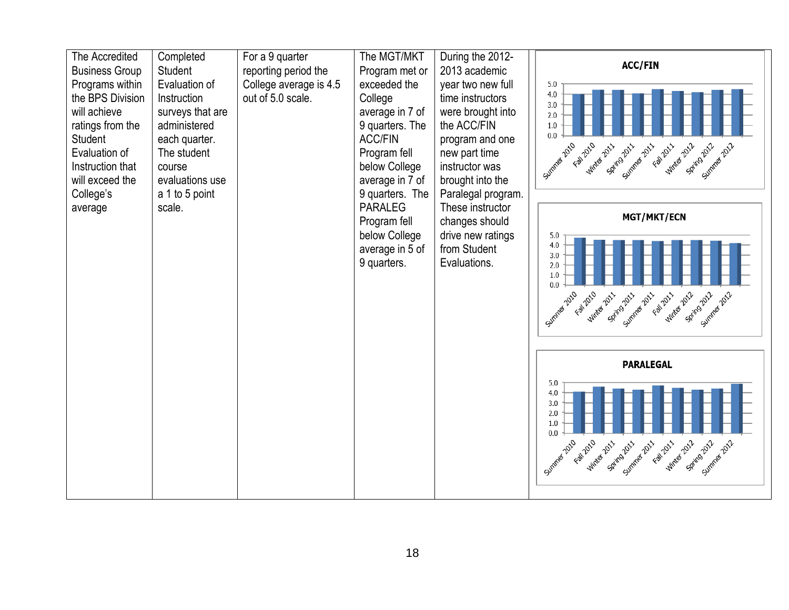| The Accredited<br><b>Business Group</b>                                                                                                                        | Completed<br>Student                                                                                                           | For a 9 quarter<br>reporting period the     | The MGT/MKT<br>Program met or                                                                                                          | During the 2012-<br>2013 academic                                                                                                                                         | <b>ACC/FIN</b>                                                                                                                                                                  |
|----------------------------------------------------------------------------------------------------------------------------------------------------------------|--------------------------------------------------------------------------------------------------------------------------------|---------------------------------------------|----------------------------------------------------------------------------------------------------------------------------------------|---------------------------------------------------------------------------------------------------------------------------------------------------------------------------|---------------------------------------------------------------------------------------------------------------------------------------------------------------------------------|
|                                                                                                                                                                | Evaluation of                                                                                                                  |                                             | exceeded the                                                                                                                           |                                                                                                                                                                           | 5.0                                                                                                                                                                             |
| Programs within<br>the BPS Division<br>will achieve<br>ratings from the<br><b>Student</b><br>Evaluation of<br>Instruction that<br>will exceed the<br>College's | Instruction<br>surveys that are<br>administered<br>each quarter.<br>The student<br>course<br>evaluations use<br>a 1 to 5 point | College average is 4.5<br>out of 5.0 scale. | College<br>average in 7 of<br>9 quarters. The<br><b>ACC/FIN</b><br>Program fell<br>below College<br>average in 7 of<br>9 quarters. The | year two new full<br>time instructors<br>were brought into<br>the ACC/FIN<br>program and one<br>new part time<br>instructor was<br>brought into the<br>Paralegal program. | 4.0<br>3.0<br>2.0<br>1.0<br>0.0<br>Fall 2010<br><b>Wither 2012</b><br>Summer 2010<br>Spirig 2011<br>Summer 2011<br>Spirrazozz<br><b>Winter 2011</b><br>Fall 2011<br>Summer 2012 |
| average                                                                                                                                                        | scale.                                                                                                                         |                                             | <b>PARALEG</b>                                                                                                                         | These instructor                                                                                                                                                          |                                                                                                                                                                                 |
|                                                                                                                                                                |                                                                                                                                |                                             | Program fell                                                                                                                           | changes should                                                                                                                                                            | <b>MGT/MKT/ECN</b>                                                                                                                                                              |
|                                                                                                                                                                |                                                                                                                                |                                             | below College<br>average in 5 of<br>9 quarters.                                                                                        | drive new ratings<br>from Student<br>Evaluations.                                                                                                                         | 5.0<br>4.0<br>3.0<br>2.0<br>1.0<br>0.0<br>Fall 2010<br>Summer 2010<br>Sping2011<br>Wirkes 2012<br>Winter 2011<br>Summer 2011<br>Fall 2011<br>Spirazozz<br>Summer 2012           |
|                                                                                                                                                                |                                                                                                                                |                                             |                                                                                                                                        |                                                                                                                                                                           | <b>PARALEGAL</b>                                                                                                                                                                |
|                                                                                                                                                                |                                                                                                                                |                                             |                                                                                                                                        |                                                                                                                                                                           | 5.0<br>4.0<br>3.0<br>2.0<br>1.0<br>0.0<br>Fall 2010<br>Winter 2012<br>Spiring Zail<br>Summer 2011<br>Fall 2011<br>Summer 2010<br><b>Winter 2011</b><br>Sping2011<br>Summer 2012 |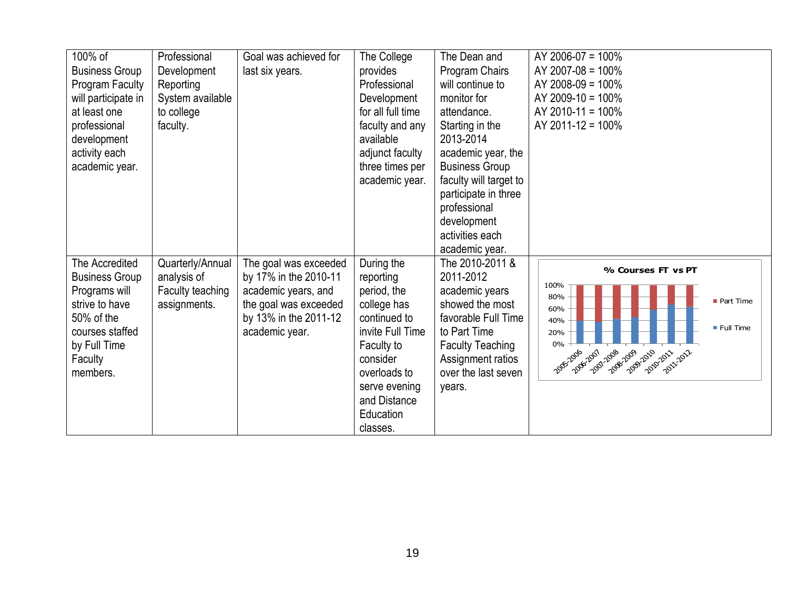| 100% of<br><b>Business Group</b><br>Program Faculty<br>will participate in<br>at least one<br>professional<br>development<br>activity each<br>academic year. | Professional<br>Development<br>Reporting<br>System available<br>to college<br>faculty. | Goal was achieved for<br>last six years.                                                                                                  | The College<br>provides<br>Professional<br>Development<br>for all full time<br>faculty and any<br>available<br>adjunct faculty<br>three times per<br>academic year. | The Dean and<br>Program Chairs<br>will continue to<br>monitor for<br>attendance.<br>Starting in the<br>2013-2014<br>academic year, the<br><b>Business Group</b><br>faculty will target to<br>participate in three<br>professional<br>development | AY 2006-07 = 100%<br>AY 2007-08 = 100%<br>AY 2008-09 = 100%<br>AY 2009-10 = $100\%$<br>AY 2010-11 = 100%<br>AY 2011-12 = $100\%$                                         |
|--------------------------------------------------------------------------------------------------------------------------------------------------------------|----------------------------------------------------------------------------------------|-------------------------------------------------------------------------------------------------------------------------------------------|---------------------------------------------------------------------------------------------------------------------------------------------------------------------|--------------------------------------------------------------------------------------------------------------------------------------------------------------------------------------------------------------------------------------------------|--------------------------------------------------------------------------------------------------------------------------------------------------------------------------|
|                                                                                                                                                              |                                                                                        |                                                                                                                                           |                                                                                                                                                                     | activities each<br>academic year.                                                                                                                                                                                                                |                                                                                                                                                                          |
| The Accredited<br><b>Business Group</b><br>Programs will<br>strive to have<br>50% of the<br>courses staffed<br>by Full Time<br>Faculty<br>members.           | Quarterly/Annual<br>analysis of<br>Faculty teaching<br>assignments.                    | The goal was exceeded<br>by 17% in the 2010-11<br>academic years, and<br>the goal was exceeded<br>by 13% in the 2011-12<br>academic year. | During the<br>reporting<br>period, the<br>college has<br>continued to<br>invite Full Time<br>Faculty to<br>consider<br>overloads to                                 | The 2010-2011 &<br>2011-2012<br>academic years<br>showed the most<br>favorable Full Time<br>to Part Time<br><b>Faculty Teaching</b><br>Assignment ratios<br>over the last seven                                                                  | % Courses FT vs PT<br>100%<br>80%<br>Part Time<br>60%<br>40%<br>$\blacksquare$ Full Time<br>20%<br>0%<br>2001-2008<br>2088-2089-2010-2011-2012<br>2005-2006<br>2006-2007 |
|                                                                                                                                                              |                                                                                        |                                                                                                                                           | serve evening<br>and Distance<br>Education<br>classes.                                                                                                              | years.                                                                                                                                                                                                                                           |                                                                                                                                                                          |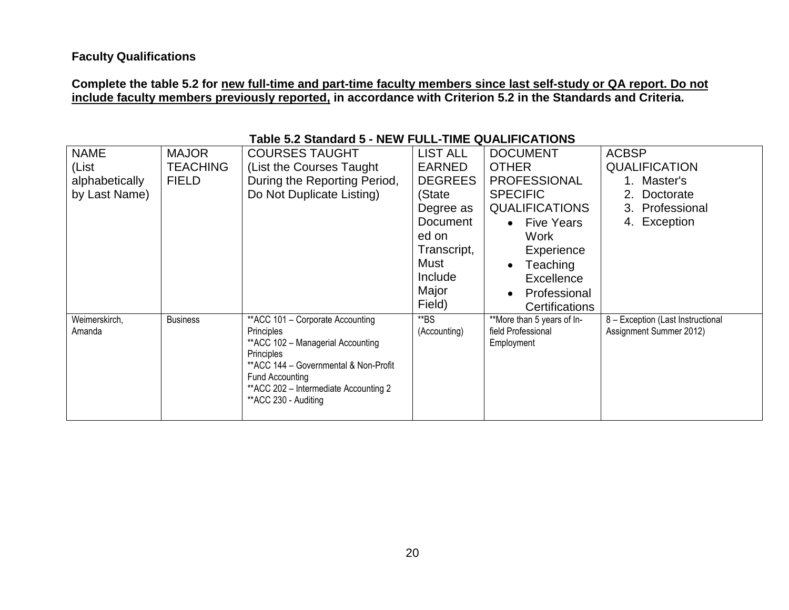# **Complete the table 5.2 for new full-time and part-time faculty members since last self-study or QA report. Do not include faculty members previously reported, in accordance with Criterion 5.2 in the Standards and Criteria.**

| <b>NAME</b>    | <b>MAJOR</b>    | <b>COURSES TAUGHT</b>                            | <b>LIST ALL</b> | <b>DOCUMENT</b>                | <b>ACBSP</b>                      |
|----------------|-----------------|--------------------------------------------------|-----------------|--------------------------------|-----------------------------------|
| (List          | <b>TEACHING</b> | (List the Courses Taught)                        | <b>EARNED</b>   | <b>OTHER</b>                   | <b>QUALIFICATION</b>              |
| alphabetically | <b>FIELD</b>    | During the Reporting Period,                     | <b>DEGREES</b>  | <b>PROFESSIONAL</b>            | 1. Master's                       |
| by Last Name)  |                 | Do Not Duplicate Listing)                        | (State          | <b>SPECIFIC</b>                | Doctorate<br>$2_{-}$              |
|                |                 |                                                  | Degree as       | <b>QUALIFICATIONS</b>          | Professional<br>3.                |
|                |                 |                                                  | Document        | <b>Five Years</b><br>$\bullet$ | Exception<br>4.                   |
|                |                 |                                                  | ed on           | Work                           |                                   |
|                |                 |                                                  | Transcript,     | Experience                     |                                   |
|                |                 |                                                  | Must            | Teaching<br>$\bullet$          |                                   |
|                |                 |                                                  | Include         | <b>Excellence</b>              |                                   |
|                |                 |                                                  | Major           | Professional<br>$\bullet$      |                                   |
|                |                 |                                                  | Field)          | <b>Certifications</b>          |                                   |
| Weimerskirch,  | <b>Business</b> | ** ACC 101 - Corporate Accounting                | $*$ BS          | **More than 5 years of In-     | 8 - Exception (Last Instructional |
| Amanda         |                 | Principles                                       | (Accounting)    | field Professional             | Assignment Summer 2012)           |
|                |                 | ** ACC 102 - Managerial Accounting<br>Principles |                 | Employment                     |                                   |
|                |                 | ** ACC 144 - Governmental & Non-Profit           |                 |                                |                                   |
|                |                 | Fund Accounting                                  |                 |                                |                                   |
|                |                 | ** ACC 202 - Intermediate Accounting 2           |                 |                                |                                   |
|                |                 | ** ACC 230 - Auditing                            |                 |                                |                                   |
|                |                 |                                                  |                 |                                |                                   |

# **Table 5.2 Standard 5 - NEW FULL-TIME QUALIFICATIONS**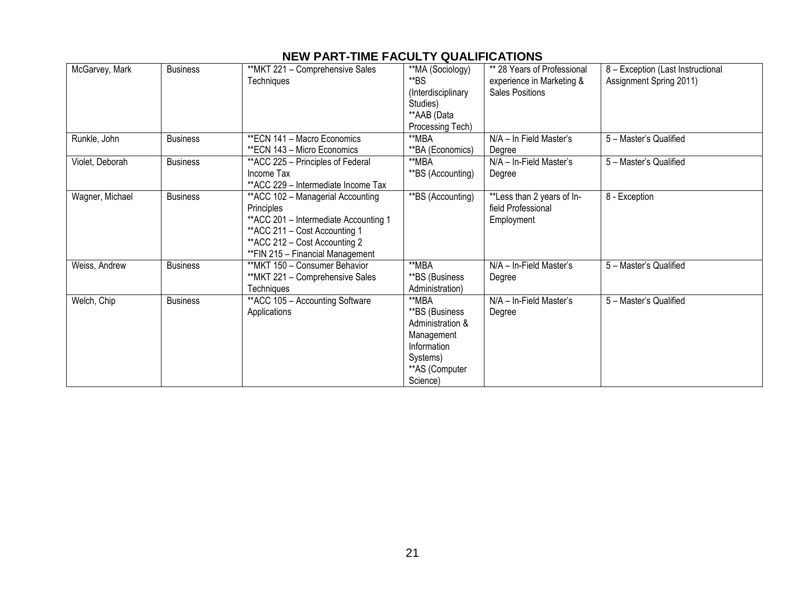# **NEW PART-TIME FACULTY QUALIFICATIONS**

| McGarvey, Mark  | <b>Business</b> | **MKT 221 - Comprehensive Sales<br>Techniques | **MA (Sociology)<br>**BS       | ** 28 Years of Professional<br>experience in Marketing & | 8 - Exception (Last Instructional<br>Assignment Spring 2011) |
|-----------------|-----------------|-----------------------------------------------|--------------------------------|----------------------------------------------------------|--------------------------------------------------------------|
|                 |                 |                                               | (Interdisciplinary<br>Studies) | <b>Sales Positions</b>                                   |                                                              |
|                 |                 |                                               | **AAB (Data                    |                                                          |                                                              |
|                 |                 |                                               | Processing Tech)               |                                                          |                                                              |
| Runkle, John    | <b>Business</b> | <b>**ECN 141 - Macro Economics</b>            | **MBA                          | N/A - In Field Master's                                  | 5 - Master's Qualified                                       |
|                 |                 | ** ECN 143 - Micro Economics                  | **BA (Economics)               | Degree                                                   |                                                              |
| Violet, Deborah | <b>Business</b> | **ACC 225 - Principles of Federal             | **MBA                          | N/A - In-Field Master's                                  | 5 - Master's Qualified                                       |
|                 |                 | Income Tax                                    | **BS (Accounting)              | Degree                                                   |                                                              |
|                 |                 | **ACC 229 - Intermediate Income Tax           |                                |                                                          |                                                              |
| Wagner, Michael | <b>Business</b> | ** ACC 102 - Managerial Accounting            | **BS (Accounting)              | **Less than 2 years of In-                               | 8 - Exception                                                |
|                 |                 | Principles                                    |                                | field Professional                                       |                                                              |
|                 |                 | ** ACC 201 - Intermediate Accounting 1        |                                | Employment                                               |                                                              |
|                 |                 | ** ACC 211 - Cost Accounting 1                |                                |                                                          |                                                              |
|                 |                 | ** ACC 212 - Cost Accounting 2                |                                |                                                          |                                                              |
|                 |                 | **FIN 215 - Financial Management              |                                |                                                          |                                                              |
| Weiss, Andrew   | <b>Business</b> | **MKT 150 - Consumer Behavior                 | **MBA                          | N/A - In-Field Master's                                  | 5 - Master's Qualified                                       |
|                 |                 | **MKT 221 - Comprehensive Sales               | **BS (Business                 | Degree                                                   |                                                              |
|                 |                 | Techniques                                    | Administration)                |                                                          |                                                              |
| Welch, Chip     | <b>Business</b> | ** ACC 105 - Accounting Software              | **MBA                          | N/A - In-Field Master's                                  | 5 - Master's Qualified                                       |
|                 |                 | Applications                                  | **BS (Business                 | Degree                                                   |                                                              |
|                 |                 |                                               | Administration &               |                                                          |                                                              |
|                 |                 |                                               | Management                     |                                                          |                                                              |
|                 |                 |                                               | Information                    |                                                          |                                                              |
|                 |                 |                                               | Systems)                       |                                                          |                                                              |
|                 |                 |                                               | ** AS (Computer                |                                                          |                                                              |
|                 |                 |                                               | Science)                       |                                                          |                                                              |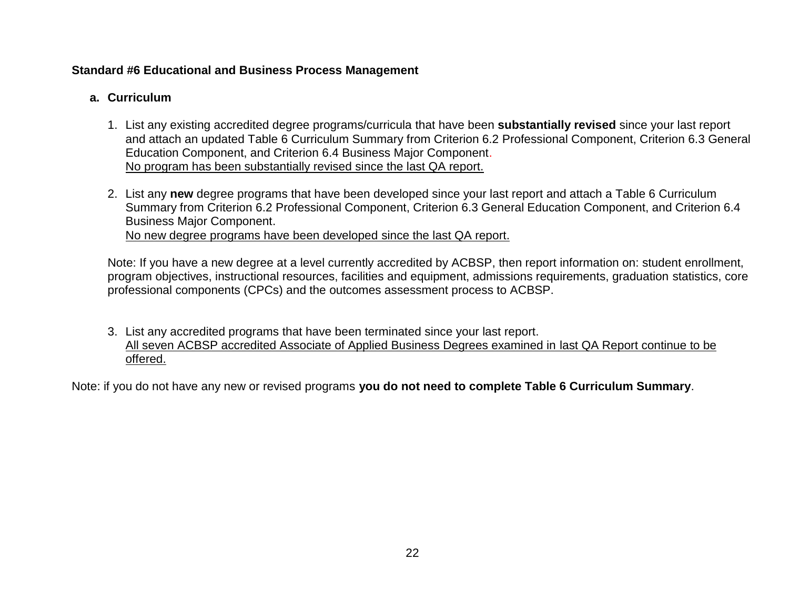# **Standard #6 Educational and Business Process Management**

# **a. Curriculum**

- 1. List any existing accredited degree programs/curricula that have been **substantially revised** since your last report and attach an updated Table 6 Curriculum Summary from Criterion 6.2 Professional Component, Criterion 6.3 General Education Component, and Criterion 6.4 Business Major Component. No program has been substantially revised since the last QA report.
- 2. List any **new** degree programs that have been developed since your last report and attach a Table 6 Curriculum Summary from Criterion 6.2 Professional Component, Criterion 6.3 General Education Component, and Criterion 6.4 Business Major Component. No new degree programs have been developed since the last QA report.

Note: If you have a new degree at a level currently accredited by ACBSP, then report information on: student enrollment, program objectives, instructional resources, facilities and equipment, admissions requirements, graduation statistics, core professional components (CPCs) and the outcomes assessment process to ACBSP.

3. List any accredited programs that have been terminated since your last report. All seven ACBSP accredited Associate of Applied Business Degrees examined in last QA Report continue to be offered.

Note: if you do not have any new or revised programs **you do not need to complete Table 6 Curriculum Summary**.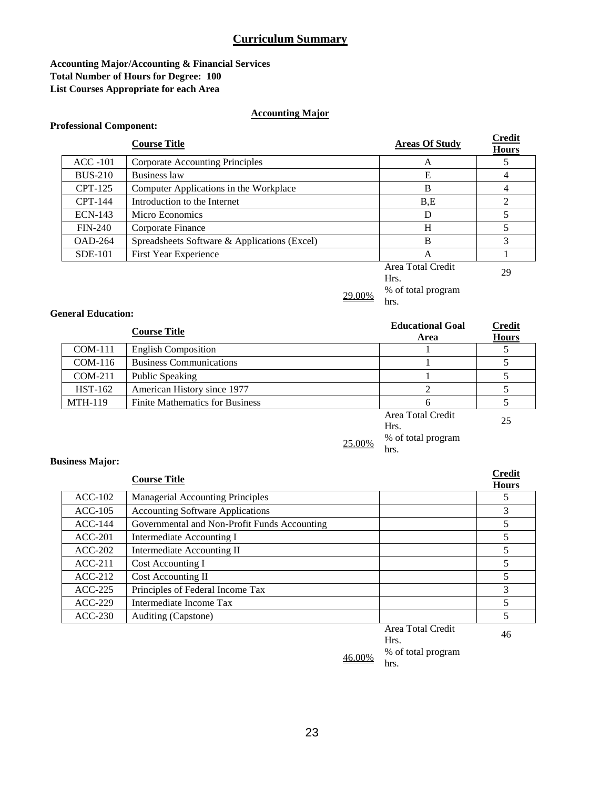#### **Accounting Major/Accounting & Financial Services Total Number of Hours for Degree: 100 List Courses Appropriate for each Area**

#### **Accounting Major**

#### **Professional Component:**

# **Course Title Course Title Areas Of Study Credit Hours** ACC -101 Corporate Accounting Principles A 5 BUS-210 Business law E 4 CPT-125 Computer Applications in the Workplace B B 4  $CPT-144$  Introduction to the Internet B,E 2 ECN-143 Micro Economics D 5 FIN-240 Corporate Finance H 5 OAD-264 Spreadsheets Software & Applications (Excel) B 3 SDE-101 First Year Experience A 1 1 Area Total Credit Hrs. <sup>29</sup>



#### **General Education:**

|                | <b>Course Title</b>                    | <b>Educational Goal</b><br>Area | <b>Credit</b><br><b>Hours</b> |
|----------------|----------------------------------------|---------------------------------|-------------------------------|
| $COM-111$      | <b>English Composition</b>             |                                 |                               |
| $COM-116$      | <b>Business Communications</b>         |                                 |                               |
| $COM-211$      | Public Speaking                        |                                 |                               |
| <b>HST-162</b> | American History since 1977            |                                 |                               |
| <b>MTH-119</b> | <b>Finite Mathematics for Business</b> | h                               |                               |
|                |                                        | Area Total Credit<br>Hrs.       | 25                            |

# $\frac{\%}{\%}$  of total program

hrs.

#### **Business Major:**

|           | <b>Course Title</b>                          |                     | <b>Credit</b><br><b>Hours</b> |
|-----------|----------------------------------------------|---------------------|-------------------------------|
| $ACC-102$ | <b>Managerial Accounting Principles</b>      |                     |                               |
| $ACC-105$ | <b>Accounting Software Applications</b>      |                     |                               |
| $ACC-144$ | Governmental and Non-Profit Funds Accounting |                     | 5                             |
| $ACC-201$ | Intermediate Accounting I                    |                     | 5                             |
| $ACC-202$ | Intermediate Accounting II                   |                     | 5                             |
| $ACC-211$ | Cost Accounting I                            |                     | 5                             |
| $ACC-212$ | Cost Accounting II                           |                     | 5                             |
| $ACC-225$ | Principles of Federal Income Tax             |                     | 3                             |
| $ACC-229$ | Intermediate Income Tax                      |                     | $\overline{\mathcal{L}}$      |
| $ACC-230$ | Auditing (Capstone)                          |                     |                               |
|           |                                              | $Area$ Total Cradit |                               |

Area Total Credit Hrs. <sup>46</sup>

 $\frac{46.00\%}{h_{\text{rs}}}$  % of total program hrs.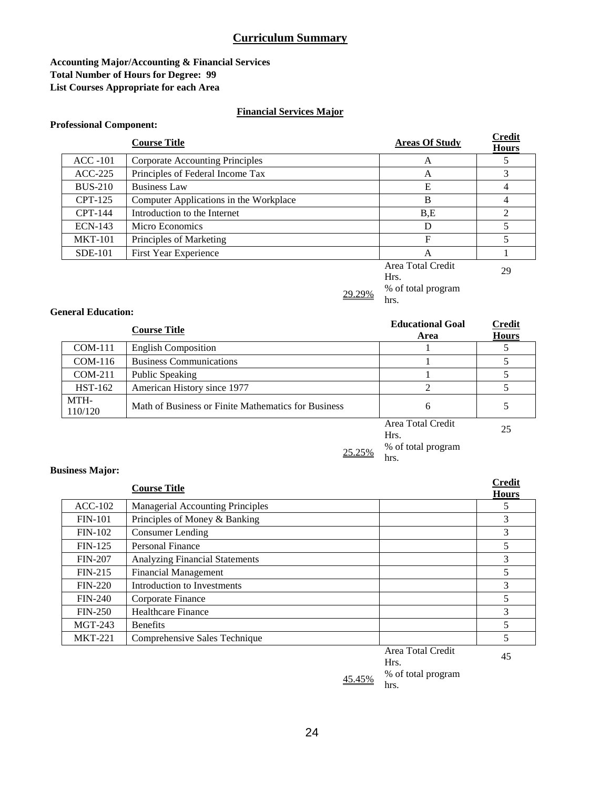#### **Accounting Major/Accounting & Financial Services Total Number of Hours for Degree: 99 List Courses Appropriate for each Area**

#### **Financial Services Major**

#### **Professional Component:**

|                | <b>Course Title</b>                    | <b>Areas Of Study</b>     | <b>Credit</b><br><b>Hours</b> |
|----------------|----------------------------------------|---------------------------|-------------------------------|
| $ACC-101$      | Corporate Accounting Principles        | A                         |                               |
| $ACC-225$      | Principles of Federal Income Tax       | A                         | 3                             |
| <b>BUS-210</b> | <b>Business Law</b>                    | E                         |                               |
| $CPT-125$      | Computer Applications in the Workplace | B                         | 4                             |
| CPT-144        | Introduction to the Internet           | B.E                       | C                             |
| $ECN-143$      | Micro Economics                        | D                         |                               |
| <b>MKT-101</b> | Principles of Marketing                | F                         |                               |
| $SDE-101$      | <b>First Year Experience</b>           | A                         |                               |
|                |                                        | Area Total Credit<br>Hrs. | 29                            |

 $\frac{29.29\%}{h}$  % of total program hrs.

#### **General Education:**

|                 | <b>Course Title</b>                                 | <b>Educational Goal</b><br>Area | <b>Credit</b><br><b>Hours</b> |
|-----------------|-----------------------------------------------------|---------------------------------|-------------------------------|
| $COM-111$       | <b>English Composition</b>                          |                                 |                               |
| $COM-116$       | <b>Business Communications</b>                      |                                 |                               |
| $COM-211$       | Public Speaking                                     |                                 |                               |
| <b>HST-162</b>  | American History since 1977                         |                                 |                               |
| MTH-<br>110/120 | Math of Business or Finite Mathematics for Business | 6                               |                               |
|                 |                                                     | Area Total Credit               | $\cap \subset$                |

Area Total Credit 25

 $\frac{25.25\%}{h}$  % of total program

hrs.

#### **Business Major:**

|                | <b>Course Title</b>                       | <b>Credit</b><br><b>Hours</b> |
|----------------|-------------------------------------------|-------------------------------|
| $ACC-102$      | <b>Managerial Accounting Principles</b>   | 5                             |
| $FIN-101$      | Principles of Money & Banking             | 3                             |
| $FIN-102$      | Consumer Lending                          | 3                             |
| $FIN-125$      | Personal Finance                          | 5                             |
| <b>FIN-207</b> | <b>Analyzing Financial Statements</b>     | 3                             |
| $FIN-215$      | <b>Financial Management</b>               | 5                             |
| $FIN-220$      | Introduction to Investments               | 3                             |
| $FIN-240$      | Corporate Finance                         | 5                             |
| $FIN-250$      | <b>Healthcare Finance</b>                 | 3                             |
| MGT-243        | <b>Benefits</b>                           | 5                             |
| <b>MKT-221</b> | Comprehensive Sales Technique             | 5                             |
|                | $\lambda$ $\mathbf{T}$ 1 $\mathbf{C}$ 1'. |                               |

Area Total Credit Hrs.

45

 $\frac{45.45\%}{h}$  % of total program hrs.

24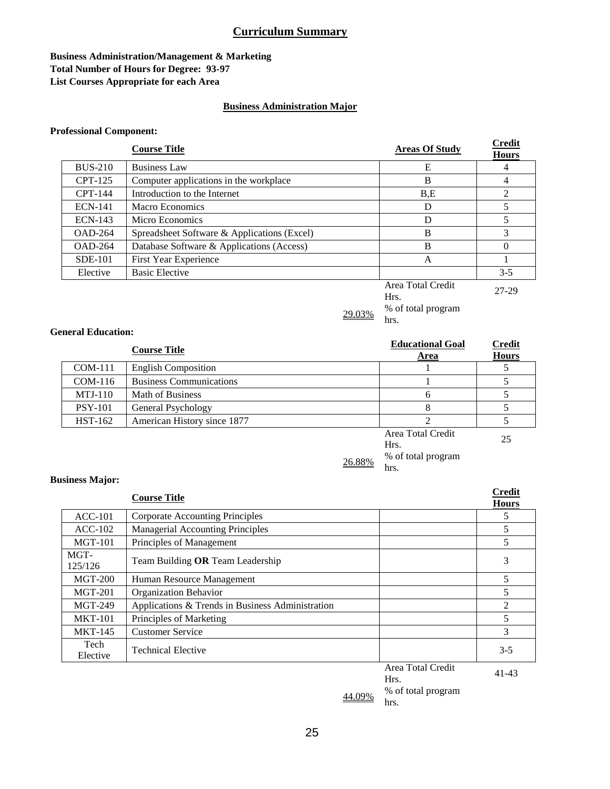#### **Business Administration/Management & Marketing Total Number of Hours for Degree: 93-97 List Courses Appropriate for each Area**

#### **Business Administration Major**

#### **Professional Component:**

|                | <b>Course Title</b>                         | <b>Areas Of Study</b> | <b>Credit</b><br><b>Hours</b> |
|----------------|---------------------------------------------|-----------------------|-------------------------------|
| <b>BUS-210</b> | <b>Business Law</b>                         | E                     | 4                             |
| CPT-125        | Computer applications in the workplace      | B                     |                               |
| CPT-144        | Introduction to the Internet                | B.E                   |                               |
| <b>ECN-141</b> | Macro Economics                             | D                     |                               |
| <b>ECN-143</b> | Micro Economics                             | D                     |                               |
| $OAD-264$      | Spreadsheet Software & Applications (Excel) | B                     |                               |
| $OAD-264$      | Database Software & Applications (Access)   | B                     |                               |
| $SDE-101$      | <b>First Year Experience</b>                | A                     |                               |
| Elective       | <b>Basic Elective</b>                       |                       | $3 - 5$                       |
|                |                                             | Area Total Credit     | 27.20                         |

Hrs. 27-29

hrs.

 $\frac{29.03\%}{h}$  % of total program

**General Education:** 

|                | <b>Course Title</b>            | <b>Educational Goal</b><br>Area | <b>Credit</b><br><b>Hours</b> |
|----------------|--------------------------------|---------------------------------|-------------------------------|
| COM-111        | <b>English Composition</b>     |                                 |                               |
| $COM-116$      | <b>Business Communications</b> |                                 |                               |
| $MTJ-110$      | <b>Math of Business</b>        | h                               |                               |
| <b>PSY-101</b> | General Psychology             |                                 |                               |
| <b>HST-162</b> | American History since 1877    |                                 |                               |
|                |                                | Area Total Credit<br>Hrs.       | 25                            |

#### $\frac{\%}{\%}$  of total program hrs.

**Business Major:** 

|                  | <b>Course Title</b>                              |                   | <b>Credit</b><br><b>Hours</b> |
|------------------|--------------------------------------------------|-------------------|-------------------------------|
| $ACC-101$        | Corporate Accounting Principles                  |                   | 5.                            |
| $ACC-102$        | <b>Managerial Accounting Principles</b>          |                   | 5                             |
| <b>MGT-101</b>   | Principles of Management                         |                   | 5                             |
| MGT-<br>125/126  | Team Building OR Team Leadership                 |                   | 3                             |
| $MGT-200$        | Human Resource Management                        |                   | 5                             |
| <b>MGT-201</b>   | <b>Organization Behavior</b>                     |                   | 5                             |
| MGT-249          | Applications & Trends in Business Administration |                   | 2                             |
| <b>MKT-101</b>   | Principles of Marketing                          |                   | 5                             |
| <b>MKT-145</b>   | <b>Customer Service</b>                          |                   | 3                             |
| Tech<br>Elective | <b>Technical Elective</b>                        |                   | $3 - 5$                       |
|                  |                                                  | Area Total Credit | 1112                          |

 $\frac{44.09\%}{h_{\text{max}}}$  % of total program hrs.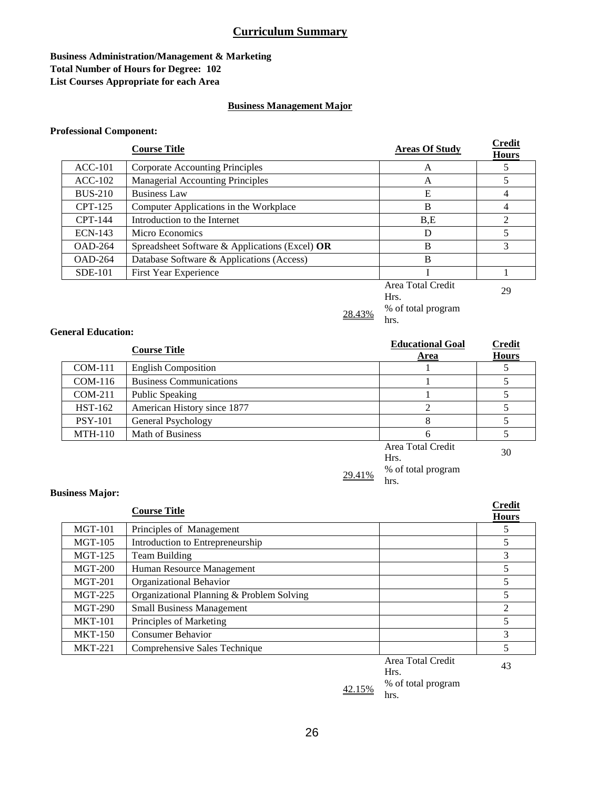#### **Business Administration/Management & Marketing Total Number of Hours for Degree: 102 List Courses Appropriate for each Area**

#### **Business Management Major**

#### **Professional Component:**

|                | <b>Course Title</b>                            | <b>Areas Of Study</b>     | <b>Credit</b><br><b>Hours</b> |
|----------------|------------------------------------------------|---------------------------|-------------------------------|
| $ACC-101$      | Corporate Accounting Principles                | А                         |                               |
| $ACC-102$      | <b>Managerial Accounting Principles</b>        | A                         |                               |
| <b>BUS-210</b> | <b>Business Law</b>                            | E                         | 4                             |
| CPT-125        | Computer Applications in the Workplace         | B                         | 4                             |
| <b>CPT-144</b> | Introduction to the Internet                   | B.E                       | ∍                             |
| <b>ECN-143</b> | Micro Economics                                | D                         |                               |
| $OAD-264$      | Spreadsheet Software & Applications (Excel) OR | B                         | 3                             |
| $OAD-264$      | Database Software & Applications (Access)      | B                         |                               |
| SDE-101        | First Year Experience                          |                           |                               |
|                |                                                | Area Total Credit<br>Hrs. | 29                            |

 $\frac{28.43\%}{h}$  % of total program

hrs.

#### **General Education:**

**Business Major:** 

|                | <b>Course Title</b>            | <b>Educational Goal</b><br>Area | <b>Credit</b><br><b>Hours</b> |
|----------------|--------------------------------|---------------------------------|-------------------------------|
| $COM-111$      | <b>English Composition</b>     |                                 |                               |
| $COM-116$      | <b>Business Communications</b> |                                 |                               |
| $COM-211$      | Public Speaking                |                                 |                               |
| <b>HST-162</b> | American History since 1877    |                                 |                               |
| <b>PSY-101</b> | General Psychology             |                                 |                               |
| $MTH-110$      | <b>Math of Business</b>        |                                 |                               |
|                |                                | $\Lambda$ roo Totol Crodit      |                               |

# Area Total Credit Hrs. <sup>30</sup>  $\frac{29.41\%}{h}$  % of total program

hrs.

|                | <b>Course Title</b>                       |                           | <b>Credit</b><br><b>Hours</b> |  |
|----------------|-------------------------------------------|---------------------------|-------------------------------|--|
| <b>MGT-101</b> | Principles of Management                  |                           |                               |  |
| MGT-105        | Introduction to Entrepreneurship          |                           | 5                             |  |
| <b>MGT-125</b> | 3<br><b>Team Building</b>                 |                           |                               |  |
| $MGT-200$      | 5<br>Human Resource Management            |                           |                               |  |
| $MGT-201$      | Organizational Behavior                   |                           |                               |  |
| $MGT-225$      | Organizational Planning & Problem Solving |                           |                               |  |
| <b>MGT-290</b> | <b>Small Business Management</b>          |                           |                               |  |
| <b>MKT-101</b> | Principles of Marketing                   |                           | 5                             |  |
| <b>MKT-150</b> | <b>Consumer Behavior</b>                  |                           | 3                             |  |
| <b>MKT-221</b> | Comprehensive Sales Technique             | 5                         |                               |  |
|                |                                           | Area Total Credit<br>Hrs. | 43                            |  |

% of total program hrs.

42.15%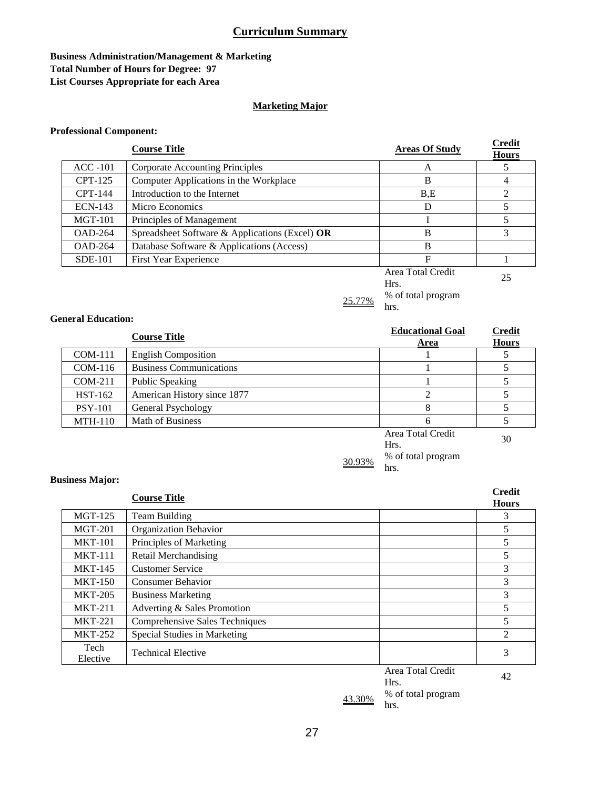#### **Business Administration/Management & Marketing Total Number of Hours for Degree: 97 List Courses Appropriate for each Area**

#### **Marketing Major**

#### **Professional Component:**

|                | <b>Course Title</b>                            | <b>Areas Of Study</b>     | <b>Credit</b><br><b>Hours</b> |
|----------------|------------------------------------------------|---------------------------|-------------------------------|
| $ACC-101$      | <b>Corporate Accounting Principles</b>         | A                         |                               |
| $CPT-125$      | Computer Applications in the Workplace         | B                         |                               |
| CPT-144        | Introduction to the Internet                   | B.E                       |                               |
| $ECN-143$      | Micro Economics                                | D                         | 5                             |
| $MGT-101$      | Principles of Management                       |                           |                               |
| <b>OAD-264</b> | Spreadsheet Software & Applications (Excel) OR | B                         | 3                             |
| <b>OAD-264</b> | Database Software & Applications (Access)      | B                         |                               |
| <b>SDE-101</b> | First Year Experience                          | $\mathbf F$               |                               |
|                |                                                | Area Total Credit<br>Hrs. | 25                            |

 $\frac{25.77\%}{h}$  % of total program

hrs.

#### **General Education:**

|                | <b>Course Title</b>            | <b>Educational Goal</b><br>Area | <b>Credit</b><br><b>Hours</b> |
|----------------|--------------------------------|---------------------------------|-------------------------------|
| $COM-111$      | <b>English Composition</b>     |                                 |                               |
| $COM-116$      | <b>Business Communications</b> |                                 |                               |
| COM-211        | Public Speaking                |                                 |                               |
| <b>HST-162</b> | American History since 1877    |                                 |                               |
| <b>PSY-101</b> | General Psychology             | 8                               |                               |
| <b>MTH-110</b> | Math of Business               | 6                               |                               |
|                |                                | Area Total Credit<br>Hrs.       | 30                            |

30.93% % of total program hrs.

**Business Major:** 

|                  | <b>Credit</b>                  |                         |  |  |
|------------------|--------------------------------|-------------------------|--|--|
|                  | <b>Hours</b>                   |                         |  |  |
| <b>MGT-125</b>   | <b>Team Building</b>           | 3                       |  |  |
| $MGT-201$        | <b>Organization Behavior</b>   | 5                       |  |  |
| <b>MKT-101</b>   | Principles of Marketing        | 5                       |  |  |
| <b>MKT-111</b>   | <b>Retail Merchandising</b>    | 5                       |  |  |
| <b>MKT-145</b>   | <b>Customer Service</b>        | 3                       |  |  |
| <b>MKT-150</b>   | <b>Consumer Behavior</b>       |                         |  |  |
| <b>MKT-205</b>   | <b>Business Marketing</b>      |                         |  |  |
| <b>MKT-211</b>   | Adverting & Sales Promotion    |                         |  |  |
| <b>MKT-221</b>   | Comprehensive Sales Techniques | 5                       |  |  |
| <b>MKT-252</b>   | Special Studies in Marketing   | 2                       |  |  |
| Tech<br>Elective | <b>Technical Elective</b>      | 3                       |  |  |
|                  | Hrs.                           | Area Total Credit<br>42 |  |  |

 $\frac{43.30\%}{h_{\text{res}}}$  % of total program hrs.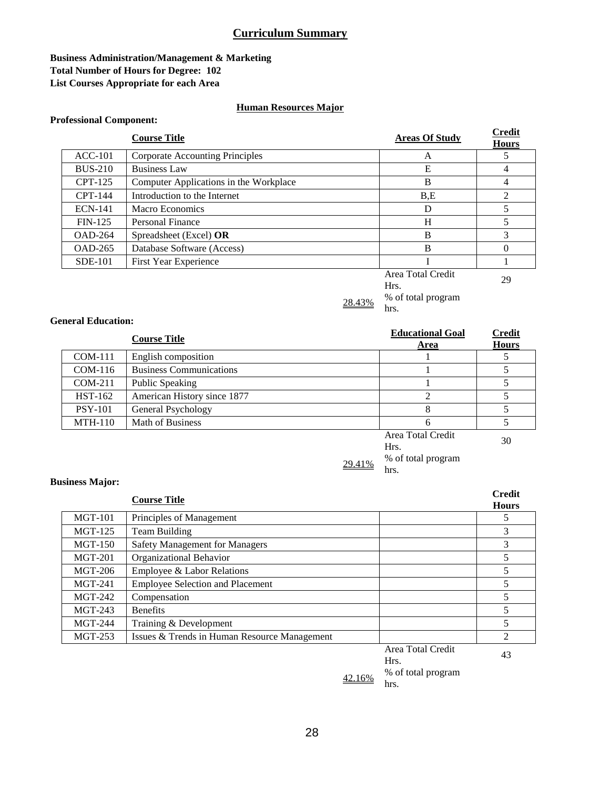#### **Business Administration/Management & Marketing Total Number of Hours for Degree: 102 List Courses Appropriate for each Area**

#### **Human Resources Major**

#### **Professional Component:**

|                | <b>Course Title</b>                    | <b>Areas Of Study</b> | <b>Credit</b><br><b>Hours</b> |
|----------------|----------------------------------------|-----------------------|-------------------------------|
| $ACC-101$      | <b>Corporate Accounting Principles</b> | A                     |                               |
| <b>BUS-210</b> | <b>Business Law</b>                    | E                     |                               |
| $CPT-125$      | Computer Applications in the Workplace | B                     |                               |
| CPT-144        | Introduction to the Internet           | B.E                   |                               |
| <b>ECN-141</b> | Macro Economics                        | D                     |                               |
| $FIN-125$      | Personal Finance                       | H                     |                               |
| <b>OAD-264</b> | Spreadsheet (Excel) OR                 | B                     |                               |
| OAD-265        | Database Software (Access)             | B                     | 0                             |
| <b>SDE-101</b> | First Year Experience                  |                       |                               |
|                |                                        | Area Total Credit     | $\Omega$                      |

# Area Total Credit 29

hrs.

 $\frac{28.43\%}{h}$  % of total program

#### **General Education:**

**Business Major:** 

|                | <b>Course Title</b>            | <b>Educational Goal</b><br>Area | <b>Credit</b><br><b>Hours</b> |
|----------------|--------------------------------|---------------------------------|-------------------------------|
| $COM-111$      | English composition            |                                 |                               |
| $COM-116$      | <b>Business Communications</b> |                                 |                               |
| $COM-211$      | Public Speaking                |                                 |                               |
| <b>HST-162</b> | American History since 1877    |                                 |                               |
| <b>PSY-101</b> | General Psychology             |                                 |                               |
| $MTH-110$      | Math of Business               |                                 |                               |
|                |                                | Area Total Credit               | $\Omega$                      |

# Area Total Credit 30  $\frac{\%}{\%}$  of total program

hrs.

### **Course Title Credit Hours** MGT-101 Principles of Management 5 MGT-125 Team Building 3 MGT-150 Safety Management for Managers 3 MGT-201 Organizational Behavior 6 and 1990 and 1991 and 1991 and 1991 and 1991 and 1991 and 1991 and 1991 and 1991 and 1991 and 1991 and 1991 and 1991 and 1991 and 1991 and 1991 and 1991 and 1991 and 1991 and 1991 and 1991 MGT-206 Employee & Labor Relations 5 MGT-241 Employee Selection and Placement 5 MGT-242 Compensation 5  $MGT-243$  Benefits 5 MGT-244 Training & Development 5 MGT-253 Issues & Trends in Human Resource Management 2

Area Total Credit Area Total Credit 43

42.16%

% of total program hrs.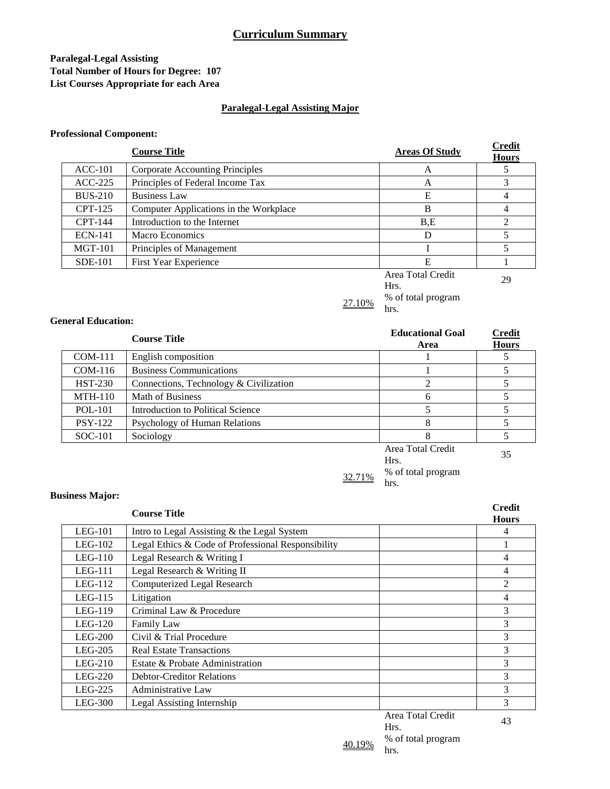#### **Paralegal-Legal Assisting Total Number of Hours for Degree: 107 List Courses Appropriate for each Area**

#### **Paralegal-Legal Assisting Major**

#### **Professional Component:**

|                | <b>Course Title</b>                    | <b>Areas Of Study</b>     | <b>Credit</b><br><b>Hours</b> |
|----------------|----------------------------------------|---------------------------|-------------------------------|
| $ACC-101$      | Corporate Accounting Principles        | A                         |                               |
| $ACC-225$      | Principles of Federal Income Tax       | A                         | 3                             |
| <b>BUS-210</b> | <b>Business Law</b>                    | E                         | 4                             |
| $CPT-125$      | Computer Applications in the Workplace | B                         | 4                             |
| CPT-144        | Introduction to the Internet           | B.E                       | 2                             |
| <b>ECN-141</b> | Macro Economics                        | D                         | 5                             |
| $MGT-101$      | Principles of Management               |                           | 5                             |
| <b>SDE-101</b> | First Year Experience                  | E                         |                               |
|                |                                        | Area Total Credit<br>Hrs. | 29                            |

hrs.

 $27.10\%$  % of total program

#### **General Education:**

**Business Major:** 

|                | <b>Course Title</b>                    | <b>Educational Goal</b><br>Area | <b>Credit</b><br><b>Hours</b> |
|----------------|----------------------------------------|---------------------------------|-------------------------------|
| $COM-111$      | English composition                    |                                 |                               |
| $COM-116$      | <b>Business Communications</b>         |                                 |                               |
| <b>HST-230</b> | Connections, Technology & Civilization |                                 |                               |
| <b>MTH-110</b> | Math of Business                       | 6                               |                               |
| $POL-101$      | Introduction to Political Science      |                                 |                               |
| <b>PSY-122</b> | Psychology of Human Relations          |                                 |                               |
| SOC-101        | Sociology                              |                                 |                               |
|                |                                        | Area Total Credit<br>Hrs.       | 35                            |

# $\frac{32.71\%}{h}$  % of total program

hrs.

#### **Course Title Credit Hours** LEG-101 Intro to Legal Assisting & the Legal System 4 LEG-102 Legal Ethics & Code of Professional Responsibility 1 LEG-110 Legal Research & Writing I 4 LEG-111 Legal Research & Writing II 4 LEG-112 Computerized Legal Research 2 LEG-115 Litigation 4 LEG-119 Criminal Law & Procedure 3 LEG-120 Family Law 3 LEG-200 Civil & Trial Procedure 3 LEG-205 Real Estate Transactions 3 LEG-210 Estate & Probate Administration 3 LEG-220 Debtor-Creditor Relations 3 LEG-225 Administrative Law 3 LEG-300 Legal Assisting Internship 3 Area Total Credit

Area Total Credit 43  $\frac{40.19\%}{h}$  % of total program hrs.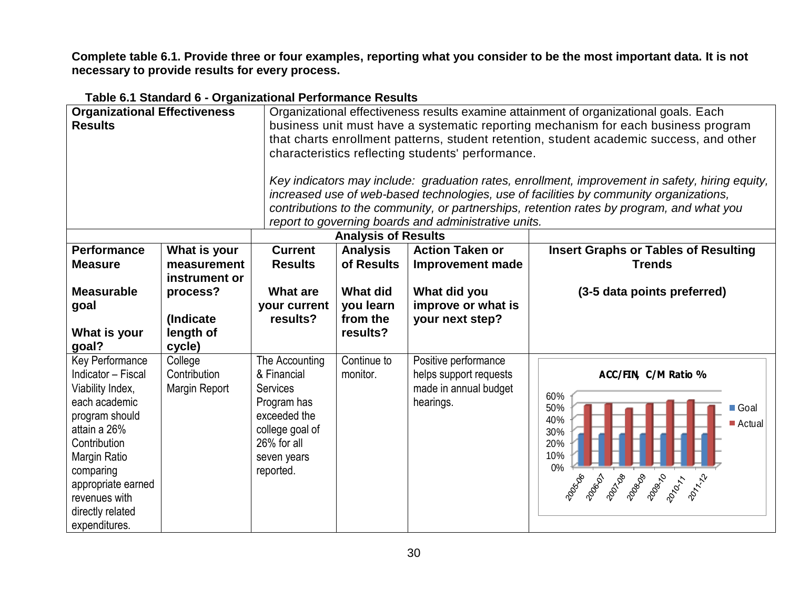**Complete table 6.1. Provide three or four examples, reporting what you consider to be the most important data. It is not necessary to provide results for every process.** 

| <b>Organizational Effectiveness</b><br><b>Results</b>                                                                                                                                                                                        |                                              |                                                                                                                                               |                                                      | characteristics reflecting students' performance.<br>report to governing boards and administrative units. | Organizational effectiveness results examine attainment of organizational goals. Each<br>business unit must have a systematic reporting mechanism for each business program<br>that charts enrollment patterns, student retention, student academic success, and other<br>Key indicators may include: graduation rates, enrollment, improvement in safety, hiring equity,<br>increased use of web-based technologies, use of facilities by community organizations,<br>contributions to the community, or partnerships, retention rates by program, and what you |
|----------------------------------------------------------------------------------------------------------------------------------------------------------------------------------------------------------------------------------------------|----------------------------------------------|-----------------------------------------------------------------------------------------------------------------------------------------------|------------------------------------------------------|-----------------------------------------------------------------------------------------------------------|------------------------------------------------------------------------------------------------------------------------------------------------------------------------------------------------------------------------------------------------------------------------------------------------------------------------------------------------------------------------------------------------------------------------------------------------------------------------------------------------------------------------------------------------------------------|
|                                                                                                                                                                                                                                              |                                              |                                                                                                                                               | <b>Analysis of Results</b>                           |                                                                                                           |                                                                                                                                                                                                                                                                                                                                                                                                                                                                                                                                                                  |
| <b>Performance</b><br><b>Measure</b>                                                                                                                                                                                                         | What is your<br>measurement<br>instrument or | <b>Current</b><br><b>Results</b>                                                                                                              | <b>Analysis</b><br>of Results                        | <b>Action Taken or</b><br><b>Improvement made</b>                                                         | <b>Insert Graphs or Tables of Resulting</b><br><b>Trends</b>                                                                                                                                                                                                                                                                                                                                                                                                                                                                                                     |
| <b>Measurable</b><br>goal<br>What is your<br>goal?                                                                                                                                                                                           | process?<br>(Indicate<br>length of<br>cycle) | <b>What are</b><br>your current<br>results?                                                                                                   | <b>What did</b><br>you learn<br>from the<br>results? | What did you<br>improve or what is<br>your next step?                                                     | (3-5 data points preferred)                                                                                                                                                                                                                                                                                                                                                                                                                                                                                                                                      |
| Key Performance<br>Indicator - Fiscal<br>Viability Index,<br>each academic<br>program should<br>attain a 26%<br>Contribution<br><b>Margin Ratio</b><br>comparing<br>appropriate earned<br>revenues with<br>directly related<br>expenditures. | College<br>Contribution<br>Margin Report     | The Accounting<br>& Financial<br><b>Services</b><br>Program has<br>exceeded the<br>college goal of<br>26% for all<br>seven years<br>reported. | Continue to<br>monitor.                              | Positive performance<br>helps support requests<br>made in annual budget<br>hearings.                      | ACC/FIN, C/M Ratio %<br>60%<br>50%<br>■ Goal<br>40%<br>Actual<br>30%<br>20%<br>10%<br>$0\%$<br>2001AB<br>2006D<br>2008DS<br>2009.70<br>200506<br>2011/12<br>2010-17                                                                                                                                                                                                                                                                                                                                                                                              |

# **Table 6.1 Standard 6 - Organizational Performance Results**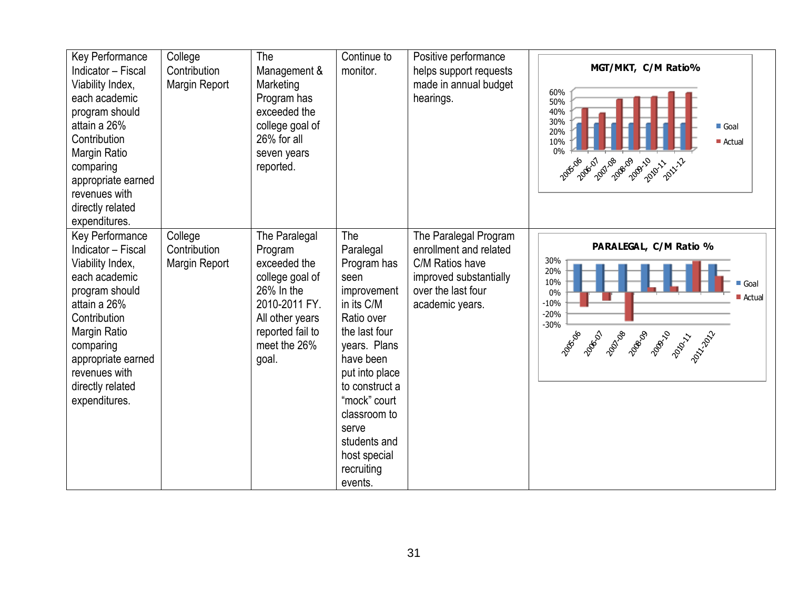| Key Performance<br>Indicator - Fiscal<br>Viability Index,<br>each academic<br>program should<br>attain a 26%<br>Contribution<br>Margin Ratio<br>comparing<br>appropriate earned<br>revenues with<br>directly related<br>expenditures. | College<br>Contribution<br>Margin Report | The<br>Management &<br>Marketing<br>Program has<br>exceeded the<br>college goal of<br>26% for all<br>seven years<br>reported.                                 | Continue to<br>monitor.                                                                                                                                                                                                                                                | Positive performance<br>helps support requests<br>made in annual budget<br>hearings.                                                  | MGT/MKT, C/M Ratio%<br>60%<br>50%<br>40%<br>30%<br>Goal<br>20%<br>10%<br>$\blacksquare$ Actual<br>0%<br>1005-06-07<br>2007-08<br>2008-09<br>2009-10<br>2010-11-11-12                     |
|---------------------------------------------------------------------------------------------------------------------------------------------------------------------------------------------------------------------------------------|------------------------------------------|---------------------------------------------------------------------------------------------------------------------------------------------------------------|------------------------------------------------------------------------------------------------------------------------------------------------------------------------------------------------------------------------------------------------------------------------|---------------------------------------------------------------------------------------------------------------------------------------|------------------------------------------------------------------------------------------------------------------------------------------------------------------------------------------|
| Key Performance<br>Indicator - Fiscal<br>Viability Index,<br>each academic<br>program should<br>attain a 26%<br>Contribution<br>Margin Ratio<br>comparing<br>appropriate earned<br>revenues with<br>directly related<br>expenditures. | College<br>Contribution<br>Margin Report | The Paralegal<br>Program<br>exceeded the<br>college goal of<br>$26\%$ In the<br>2010-2011 FY.<br>All other years<br>reported fail to<br>meet the 26%<br>goal. | The<br>Paralegal<br>Program has<br>seen<br>improvement<br>in its C/M<br>Ratio over<br>the last four<br>years. Plans<br>have been<br>put into place<br>to construct a<br>"mock" court<br>classroom to<br>serve<br>students and<br>host special<br>recruiting<br>events. | The Paralegal Program<br>enrollment and related<br>C/M Ratios have<br>improved substantially<br>over the last four<br>academic years. | PARALEGAL, C/M Ratio %<br>30%<br>20%<br>10%<br>Goal<br>$0\%$<br>$\blacksquare$ Actual<br>$-10%$<br>$-20%$<br>$-30%$<br>2006-01<br>20108<br>2008-00<br>2008-10<br>2005-06<br>2001-11-02-2 |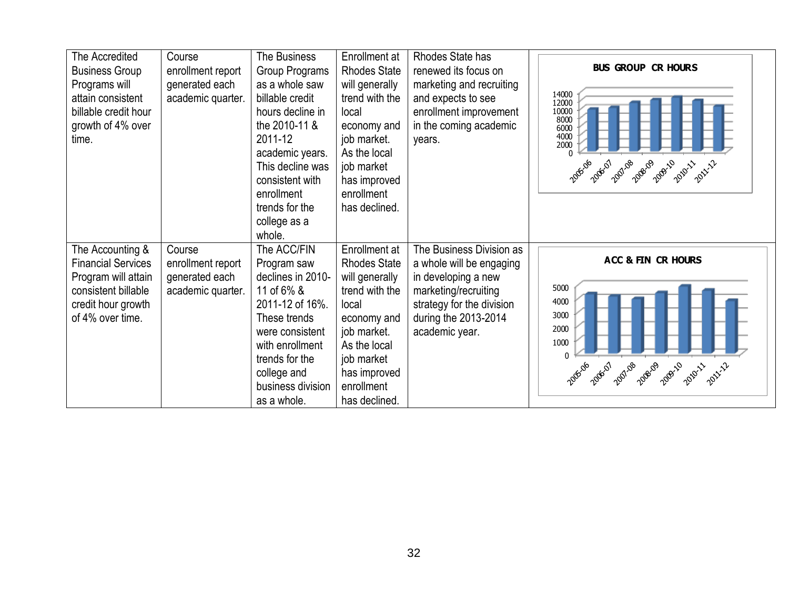| The Accredited<br><b>Business Group</b><br>Programs will<br>attain consistent<br>billable credit hour<br>growth of 4% over<br>time.   | Course<br>enrollment report<br>generated each<br>academic quarter. | The Business<br>Group Programs<br>as a whole saw<br>billable credit<br>hours decline in<br>the 2010-11 &<br>2011-12<br>academic years.<br>This decline was<br>consistent with<br>enrollment<br>trends for the<br>college as a<br>whole. | Enrollment at<br><b>Rhodes State</b><br>will generally<br>trend with the<br>local<br>economy and<br>job market.<br>As the local<br>job market<br>has improved<br>enrollment<br>has declined. | Rhodes State has<br>renewed its focus on<br>marketing and recruiting<br>and expects to see<br>enrollment improvement<br>in the coming academic<br>years.                   | <b>BUS GROUP CR HOURS</b><br>14000<br>12000<br>10000<br>8000<br>6000<br>4000<br>2000<br>2009-10<br>2001.08<br>2008-09<br>2005-06<br>2006-07<br>2010-11<br>2011-12 |
|---------------------------------------------------------------------------------------------------------------------------------------|--------------------------------------------------------------------|-----------------------------------------------------------------------------------------------------------------------------------------------------------------------------------------------------------------------------------------|----------------------------------------------------------------------------------------------------------------------------------------------------------------------------------------------|----------------------------------------------------------------------------------------------------------------------------------------------------------------------------|-------------------------------------------------------------------------------------------------------------------------------------------------------------------|
| The Accounting &<br><b>Financial Services</b><br>Program will attain<br>consistent billable<br>credit hour growth<br>of 4% over time. | Course<br>enrollment report<br>generated each<br>academic quarter. | The ACC/FIN<br>Program saw<br>declines in 2010-<br>11 of 6% &<br>2011-12 of 16%.<br>These trends<br>were consistent<br>with enrollment<br>trends for the<br>college and<br>business division<br>as a whole.                             | Enrollment at<br><b>Rhodes State</b><br>will generally<br>trend with the<br>local<br>economy and<br>job market.<br>As the local<br>job market<br>has improved<br>enrollment<br>has declined. | The Business Division as<br>a whole will be engaging<br>in developing a new<br>marketing/recruiting<br>strategy for the division<br>during the 2013-2014<br>academic year. | ACC & FIN CR HOURS<br>5000<br>4000<br>3000<br>2000<br>1000<br>$\Omega$<br>2001-08<br>2009-10<br>2008-09<br>2010-11<br>2006-07                                     |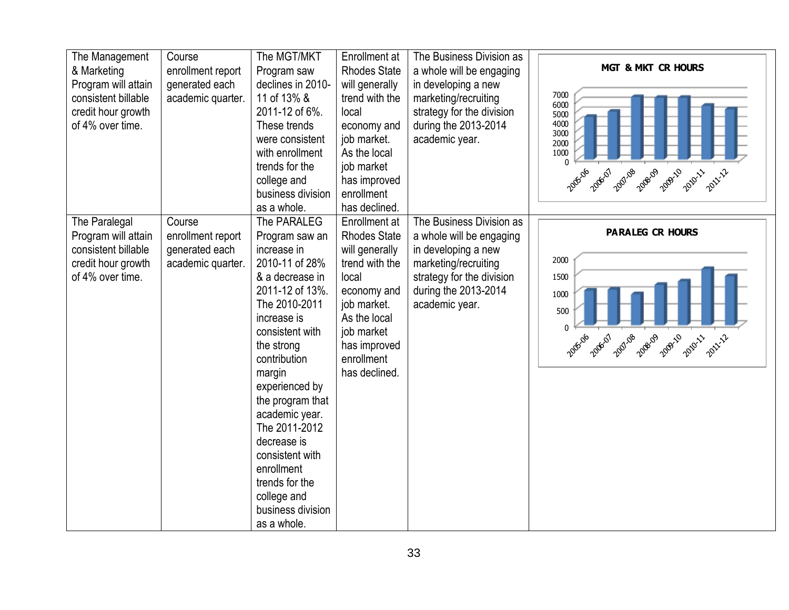| The Management<br>& Marketing<br>Program will attain<br>consistent billable<br>credit hour growth<br>of 4% over time. | Course<br>enrollment report<br>generated each<br>academic quarter. | The MGT/MKT<br>Program saw<br>declines in 2010-<br>11 of 13% &<br>2011-12 of 6%.<br>These trends<br>were consistent<br>with enrollment<br>trends for the<br>college and<br>business division<br>as a whole.                                                                                                                                                                                   | Enrollment at<br><b>Rhodes State</b><br>will generally<br>trend with the<br>local<br>economy and<br>job market.<br>As the local<br>job market<br>has improved<br>enrollment<br>has declined. | The Business Division as<br>a whole will be engaging<br>in developing a new<br>marketing/recruiting<br>strategy for the division<br>during the 2013-2014<br>academic year. | <b>MGT &amp; MKT CR HOURS</b><br>7000<br>6000<br>5000<br>4000<br>3000<br>2000<br>1000<br>$\Omega$<br>2006-07<br>2007.08<br>2008-09<br>2005-06<br>2009-10<br>2010-11<br>2011-12 |
|-----------------------------------------------------------------------------------------------------------------------|--------------------------------------------------------------------|-----------------------------------------------------------------------------------------------------------------------------------------------------------------------------------------------------------------------------------------------------------------------------------------------------------------------------------------------------------------------------------------------|----------------------------------------------------------------------------------------------------------------------------------------------------------------------------------------------|----------------------------------------------------------------------------------------------------------------------------------------------------------------------------|--------------------------------------------------------------------------------------------------------------------------------------------------------------------------------|
| The Paralegal<br>Program will attain<br>consistent billable<br>credit hour growth<br>of 4% over time.                 | Course<br>enrollment report<br>generated each<br>academic quarter. | The PARALEG<br>Program saw an<br>increase in<br>2010-11 of 28%<br>& a decrease in<br>2011-12 of 13%.<br>The 2010-2011<br>increase is<br>consistent with<br>the strong<br>contribution<br>margin<br>experienced by<br>the program that<br>academic year.<br>The 2011-2012<br>decrease is<br>consistent with<br>enrollment<br>trends for the<br>college and<br>business division<br>as a whole. | Enrollment at<br><b>Rhodes State</b><br>will generally<br>trend with the<br>local<br>economy and<br>job market.<br>As the local<br>job market<br>has improved<br>enrollment<br>has declined. | The Business Division as<br>a whole will be engaging<br>in developing a new<br>marketing/recruiting<br>strategy for the division<br>during the 2013-2014<br>academic year. | <b>PARALEG CR HOURS</b><br>2000<br>1500<br>1000<br>500<br>$\mathbf{0}$<br>2006-07<br>2001-08<br>2008-09<br>2005-06<br>2009-10<br>2010-11<br>2011-12                            |